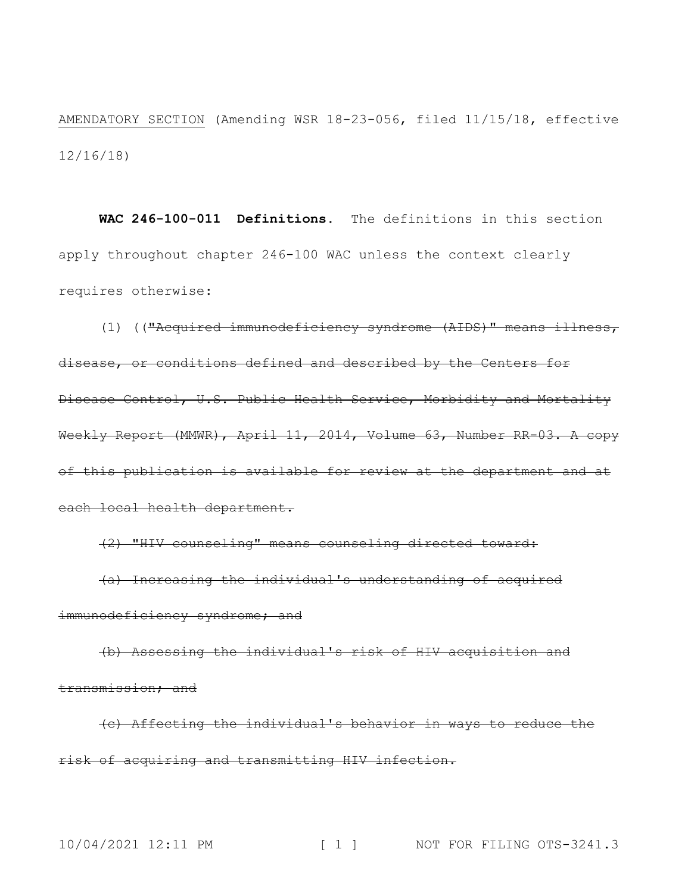AMENDATORY SECTION (Amending WSR 18-23-056, filed 11/15/18, effective 12/16/18)

**WAC 246-100-011 Definitions.** The definitions in this section apply throughout chapter 246-100 WAC unless the context clearly requires otherwise:

(1) (("Acquired immunodeficiency syndrome (AIDS)" means illness, disease, or conditions defined and described by the Centers for Disease Control, U.S. Public Health Service, Morbidity and Mortality Weekly Report (MMWR), April 11, 2014, Volume 63, Number RR-03. A copy of this publication is available for review at the department and at each local health department.

(2) "HIV counseling" means counseling directed toward:

(a) Increasing the individual's understanding of acquired immunodeficiency syndrome; and

(b) Assessing the individual's risk of HIV acquisition and transmission; and

(c) Affecting the individual's behavior in ways to reduce the risk of acquiring and transmitting HIV infection.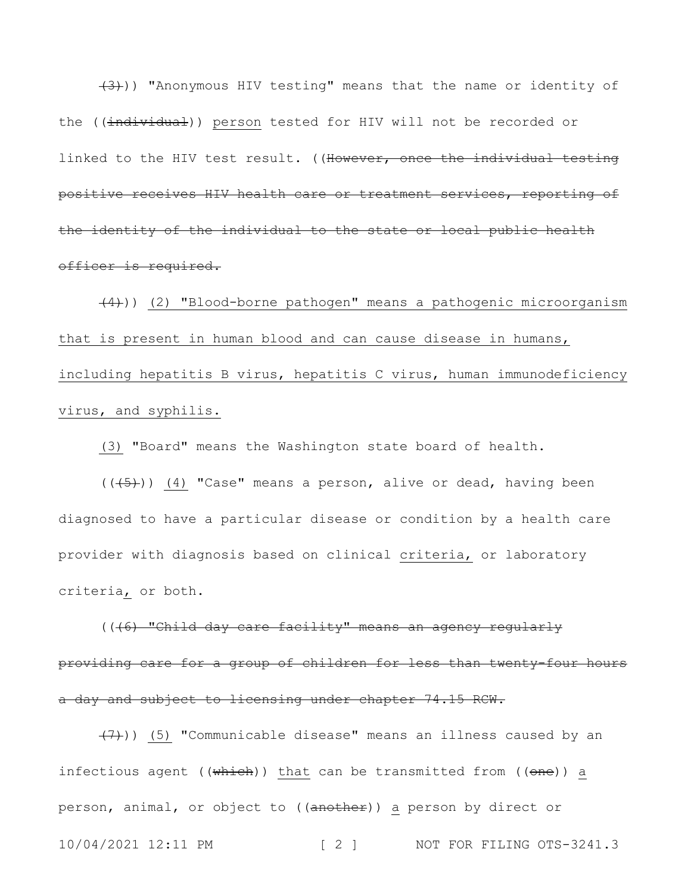(3))) "Anonymous HIV testing" means that the name or identity of the ((individual)) person tested for HIV will not be recorded or linked to the HIV test result. ((However, once the individual testing positive receives HIV health care or treatment services, reporting of the identity of the individual to the state or local public health officer is required.

(4))) (2) "Blood-borne pathogen" means a pathogenic microorganism that is present in human blood and can cause disease in humans, including hepatitis B virus, hepatitis C virus, human immunodeficiency virus, and syphilis.

(3) "Board" means the Washington state board of health.

 $((+5))$  (4) "Case" means a person, alive or dead, having been diagnosed to have a particular disease or condition by a health care provider with diagnosis based on clinical criteria, or laboratory criteria, or both.

(((6) "Child day care facility" means an agency regularly providing care for a group of children for less than twenty-four hours a day and subject to licensing under chapter 74.15 RCW.

10/04/2021 12:11 PM [ 2 ] NOT FOR FILING OTS-3241.3  $(7)$ )) (5) "Communicable disease" means an illness caused by an infectious agent ((which)) that can be transmitted from ((one)) a person, animal, or object to ((another)) a person by direct or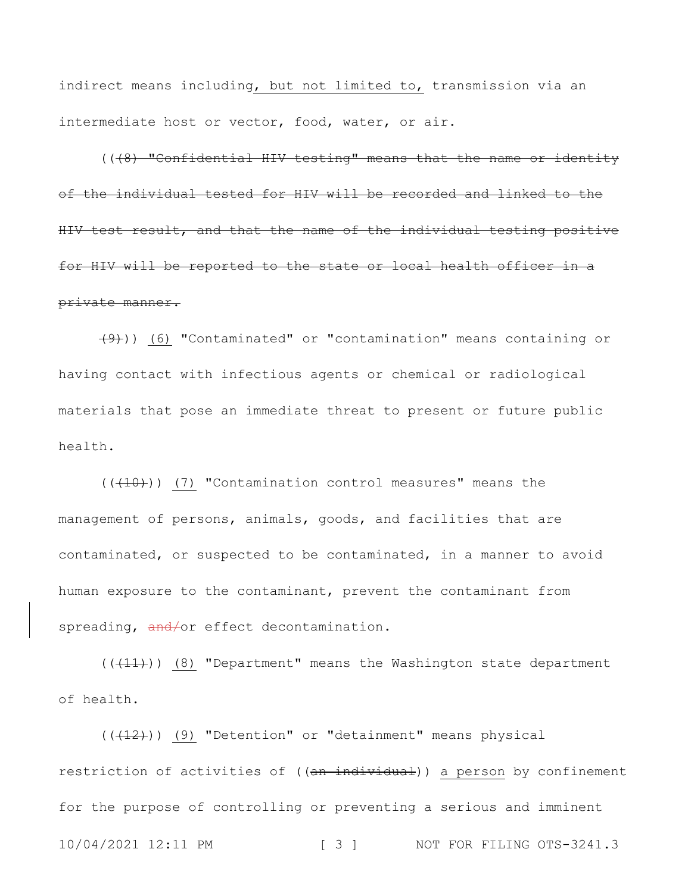indirect means including, but not limited to, transmission via an intermediate host or vector, food, water, or air.

((48) "Confidential HIV testing" means that the name or identity of the individual tested for HIV will be recorded and linked to the HIV test result, and that the name of the individual testing positive for HIV will be reported to the state or local health officer in a private manner.

 $(9)$ ) (6) "Contaminated" or "contamination" means containing or having contact with infectious agents or chemical or radiological materials that pose an immediate threat to present or future public health.

 $((+10))$  (7) "Contamination control measures" means the management of persons, animals, goods, and facilities that are contaminated, or suspected to be contaminated, in a manner to avoid human exposure to the contaminant, prevent the contaminant from spreading, and/or effect decontamination.

 $((+11))$   $(8)$  "Department" means the Washington state department of health.

10/04/2021 12:11 PM [ 3 ] NOT FOR FILING OTS-3241.3  $((+12))$  (9) "Detention" or "detainment" means physical restriction of activities of ((an individual)) a person by confinement for the purpose of controlling or preventing a serious and imminent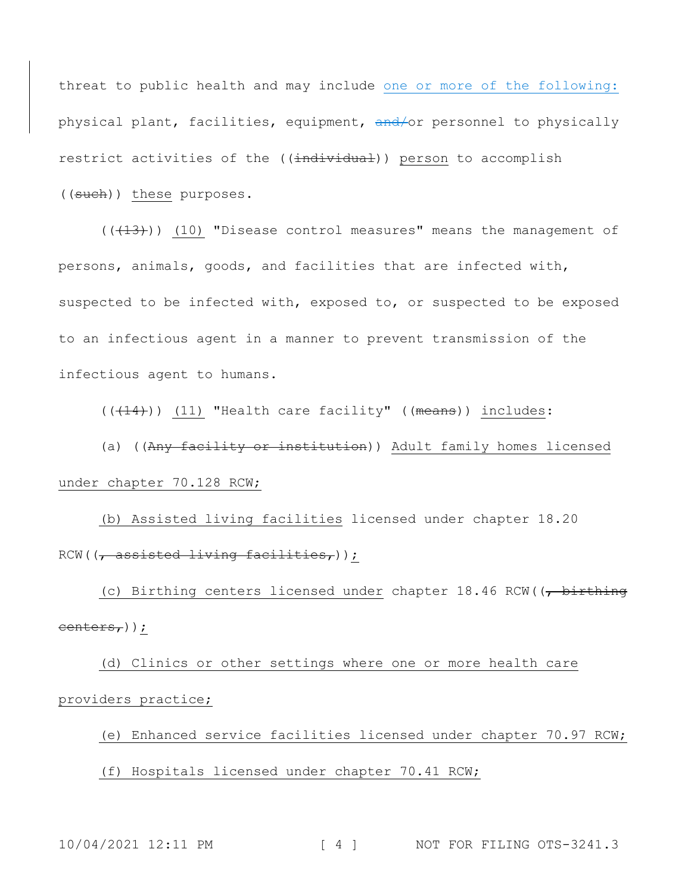threat to public health and may include one or more of the following: physical plant, facilities, equipment, and/or personnel to physically restrict activities of the ((individual)) person to accomplish ((such)) these purposes.

 $((+13))$  (10) "Disease control measures" means the management of persons, animals, goods, and facilities that are infected with, suspected to be infected with, exposed to, or suspected to be exposed to an infectious agent in a manner to prevent transmission of the infectious agent to humans.

 $((+14))$  (11) "Health care facility" ((means)) includes:

(a) ((Any facility or institution)) Adult family homes licensed under chapter 70.128 RCW;

(b) Assisted living facilities licensed under chapter 18.20  $RCW$ (( $\rightarrow$  assisted living facilities,));

(c) Birthing centers licensed under chapter  $18.46$  RCW( $\overline{6}$ , birthing centers,));

(d) Clinics or other settings where one or more health care providers practice;

(e) Enhanced service facilities licensed under chapter 70.97 RCW; (f) Hospitals licensed under chapter 70.41 RCW;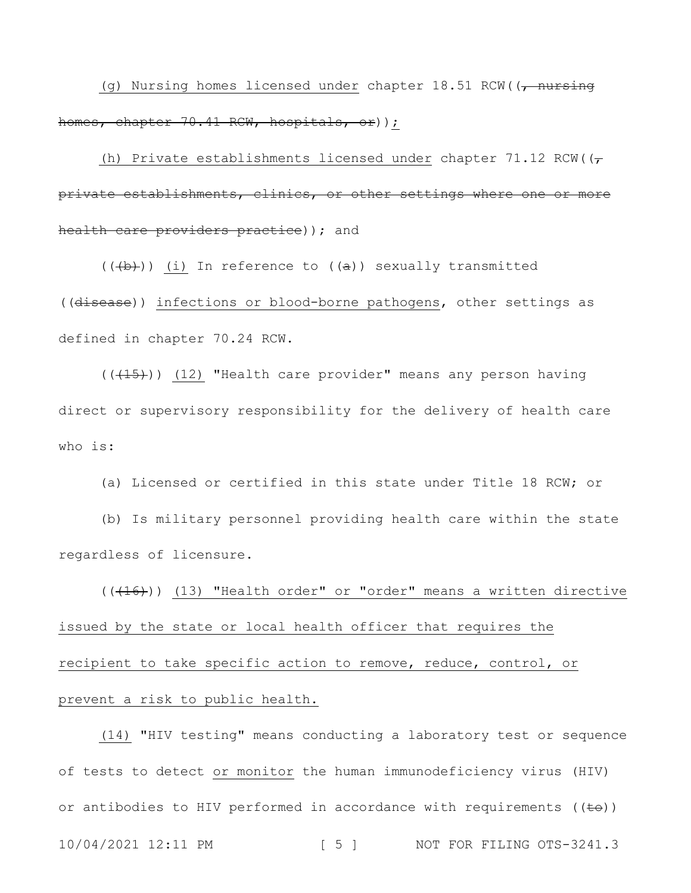(g) Nursing homes licensed under chapter  $18.51$  RCW(( $\rightarrow$  nursing homes, chapter 70.41 RCW, hospitals, or) );

(h) Private establishments licensed under chapter 71.12 RCW( $(\tau)$ private establishments, clinics, or other settings where one or more health care providers practice) ) ; and

 $((+b))$  (i) In reference to  $((a))$  sexually transmitted ((disease)) infections or blood-borne pathogens, other settings as defined in chapter 70.24 RCW.

 $((+15))$  (12) "Health care provider" means any person having direct or supervisory responsibility for the delivery of health care who is:

(a) Licensed or certified in this state under Title 18 RCW; or

(b) Is military personnel providing health care within the state regardless of licensure.

 $((+16))$  (13) "Health order" or "order" means a written directive issued by the state or local health officer that requires the recipient to take specific action to remove, reduce, control, or prevent a risk to public health.

10/04/2021 12:11 PM [ 5 ] NOT FOR FILING OTS-3241.3 (14) "HIV testing" means conducting a laboratory test or sequence of tests to detect or monitor the human immunodeficiency virus (HIV) or antibodies to HIV performed in accordance with requirements  $((\pm e))$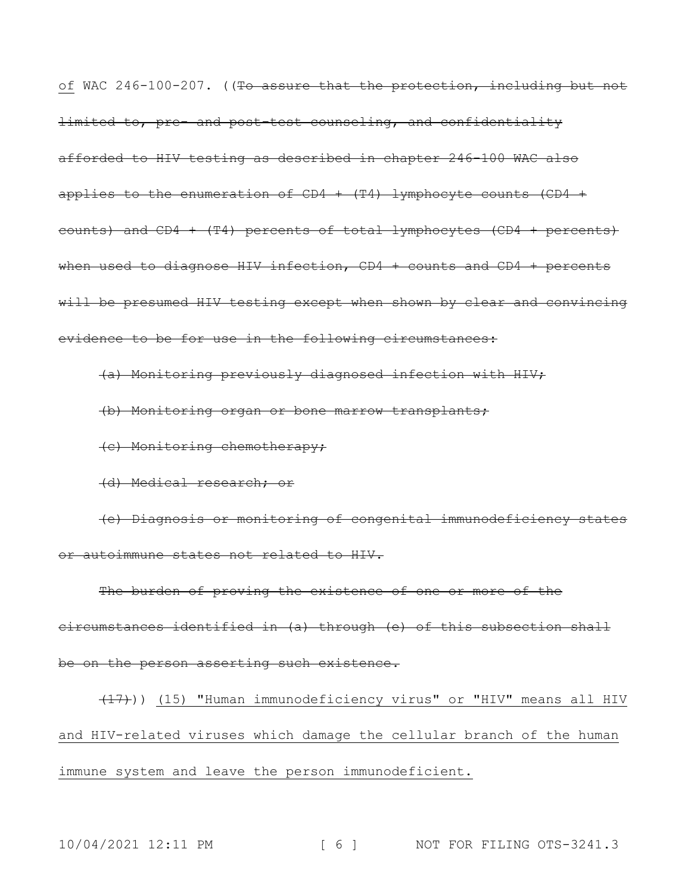of WAC 246-100-207. ((To assure that the protection, including but not limited to, pre- and post-test counseling, and confidentiality afforded to HIV testing as described in chapter 246-100 WAC also applies to the enumeration of  $CD4 + (T4)$  lymphocyte counts  $(CD4 +$ counts) and  $CD4 + (T4)$  percents of total lymphocytes  $(CD4 + percents)$ when used to diagnose HIV infection, CD4 + counts and CD4 + percents will be presumed HIV testing except when shown by clear and convincing evidence to be for use in the following circumstances:

(a) Monitoring previously diagnosed infection with HIV;

(b) Monitoring organ or bone marrow transplants;

(c) Monitoring chemotherapy;

(d) Medical research; or

(e) Diagnosis or monitoring of congenital immunodeficiency states or autoimmune states not related to HIV.

The burden of proving the existence of one or more of the circumstances identified in (a) through (e) of this subsection shall be on the person asserting such existence.

(17))) (15) "Human immunodeficiency virus" or "HIV" means all HIV and HIV-related viruses which damage the cellular branch of the human immune system and leave the person immunodeficient.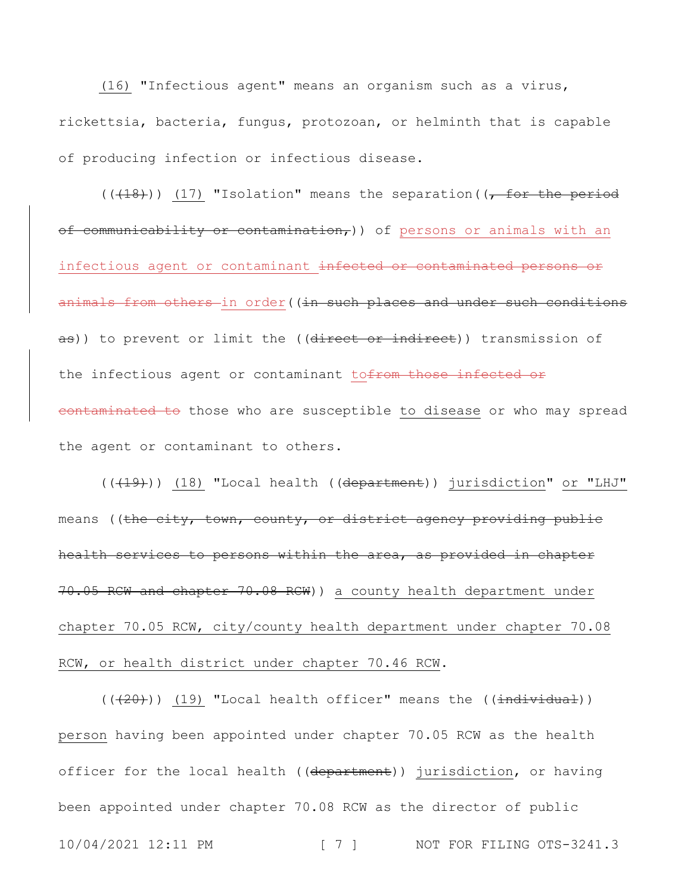(16) "Infectious agent" means an organism such as a virus, rickettsia, bacteria, fungus, protozoan, or helminth that is capable of producing infection or infectious disease.

 $((+18))$  (17) "Isolation" means the separation  $((-18))$ of communicability or contamination,)) of persons or animals with an infectious agent or contaminant infected or contaminated persons or animals from others in order ((in such places and under such conditions as)) to prevent or limit the ((direct or indirect)) transmission of the infectious agent or contaminant tofrom those infected or contaminated to those who are susceptible to disease or who may spread the agent or contaminant to others.

(((19))) (18) "Local health ((department)) jurisdiction" or "LHJ" means ((the city, town, county, or district agency providing public health services to persons within the area, as provided in chapter 70.05 RCW and chapter 70.08 RCW)) a county health department under chapter 70.05 RCW, city/county health department under chapter 70.08 RCW, or health district under chapter 70.46 RCW.

10/04/2021 12:11 PM [ 7 ] NOT FOR FILING OTS-3241.3  $((+20))$  (19) "Local health officer" means the ( $(\pm$ ndividual)) person having been appointed under chapter 70.05 RCW as the health officer for the local health ((department)) jurisdiction, or having been appointed under chapter 70.08 RCW as the director of public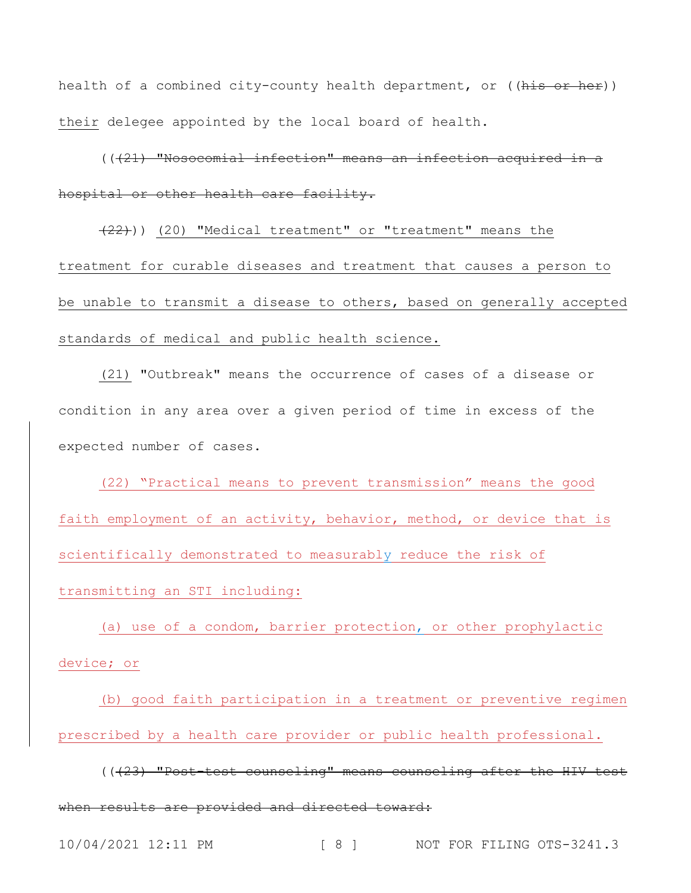health of a combined city-county health department, or  $((\frac{h}{h+1}, \frac{h+1}{h+1})$ their delegee appointed by the local board of health.

 $((421)$  "Nosocomial infection" means an infection acquired in a hospital or other health care facility.

(22))) (20) "Medical treatment" or "treatment" means the treatment for curable diseases and treatment that causes a person to be unable to transmit a disease to others, based on generally accepted standards of medical and public health science.

(21) "Outbreak" means the occurrence of cases of a disease or condition in any area over a given period of time in excess of the expected number of cases.

(22) "Practical means to prevent transmission" means the good faith employment of an activity, behavior, method, or device that is scientifically demonstrated to measurably reduce the risk of transmitting an STI including:

(a) use of a condom, barrier protection, or other prophylactic device; or

(b) good faith participation in a treatment or preventive regimen prescribed by a health care provider or public health professional.

(((23) "Post-test counseling" means counseling after the HIV test when results are provided and directed toward: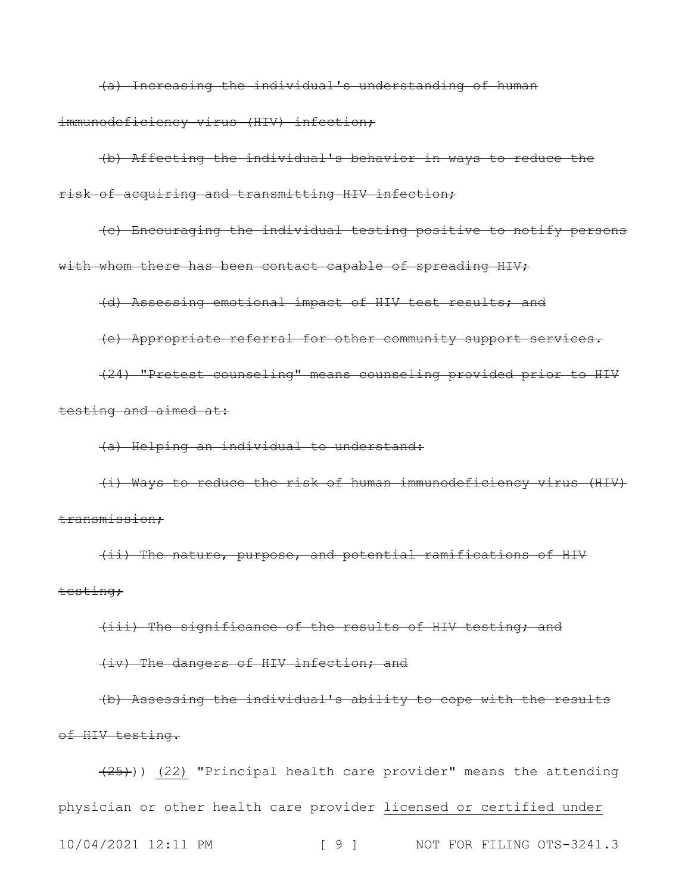(a) Increasing the individual's understanding of human immunodeficiency virus (HIV) infection;

(b) Affecting the individual's behavior in ways to reduce the risk of acquiring and transmitting HIV infection;

(c) Encouraging the individual testing positive to notify persons with whom there has been contact capable of spreading HIV;

(d) Assessing emotional impact of HIV test results; and

(e) Appropriate referral for other community support services.

(24) "Pretest counseling" means counseling provided prior to HIV testing and aimed at:

(a) Helping an individual to understand:

(i) Ways to reduce the risk of human immunodeficiency virus (HIV) transmission;

(ii) The nature, purpose, and potential ramifications of HIV testing;

(iii) The significance of the results of HIV testing; and

(iv) The dangers of HIV infection; and

(b) Assessing the individual's ability to cope with the results of HIV testing.

10/04/2021 12:11 PM [ 9 ] NOT FOR FILING OTS-3241.3  $(25)$ )) (22) "Principal health care provider" means the attending physician or other health care provider licensed or certified under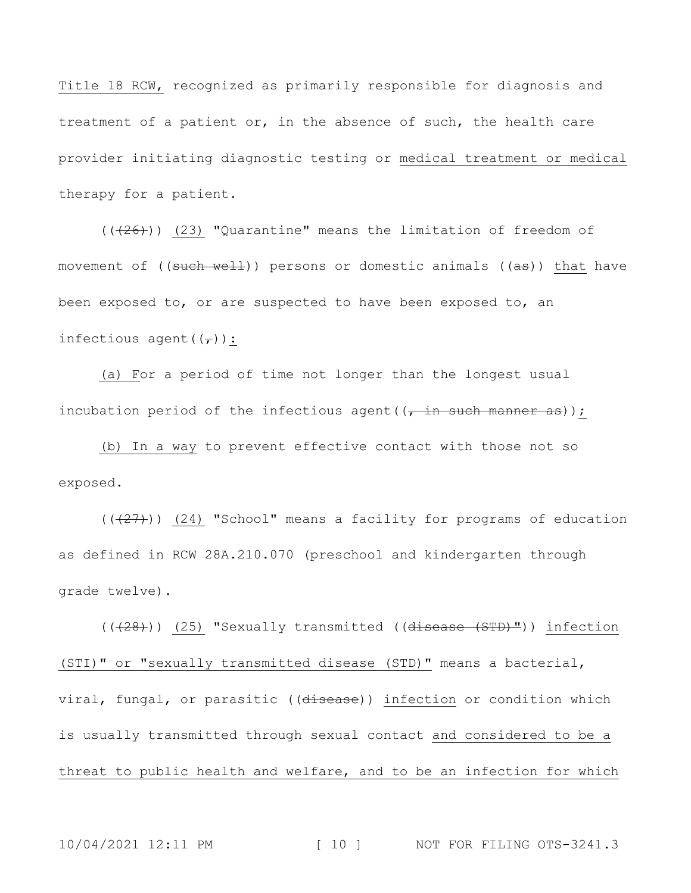Title 18 RCW, recognized as primarily responsible for diagnosis and treatment of a patient or, in the absence of such, the health care provider initiating diagnostic testing or medical treatment or medical therapy for a patient.

 $((+26))$  (23) "Quarantine" means the limitation of freedom of movement of ((such well)) persons or domestic animals ((as)) that have been exposed to, or are suspected to have been exposed to, an infectious agent( $(\tau)$ ):

(a) For a period of time not longer than the longest usual incubation period of the infectious agent ( $\frac{1}{t}$  in such manner as));

(b) In a way to prevent effective contact with those not so exposed.

 $((+27))$  (24) "School" means a facility for programs of education as defined in RCW 28A.210.070 (preschool and kindergarten through grade twelve).

(((28))) (25) "Sexually transmitted ((disease (STD)")) infection (STI)" or "sexually transmitted disease (STD)" means a bacterial, viral, fungal, or parasitic ((disease)) infection or condition which is usually transmitted through sexual contact and considered to be a threat to public health and welfare, and to be an infection for which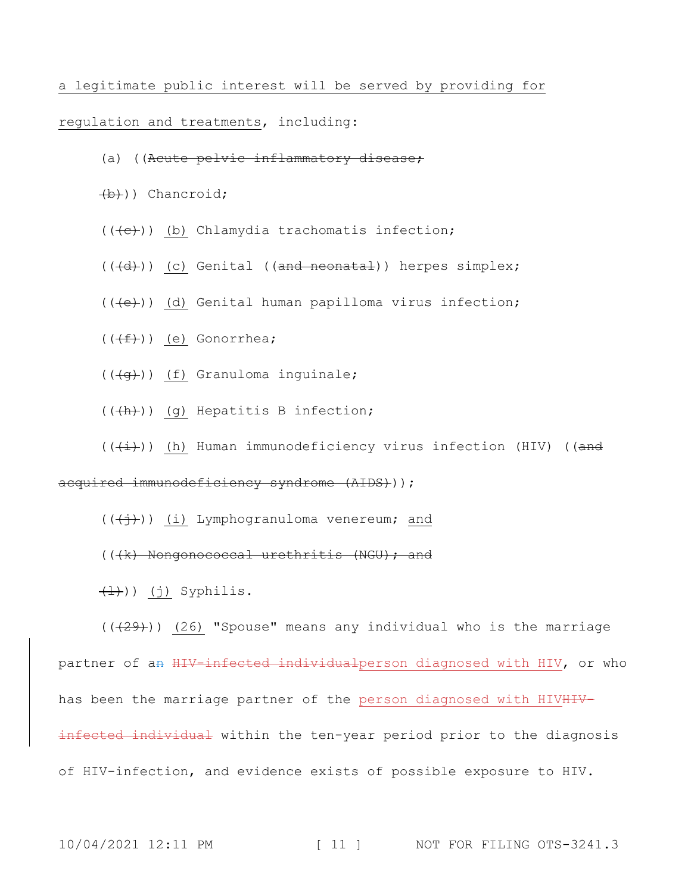a legitimate public interest will be served by providing for

### regulation and treatments, including:

- (a) ((Acute pelvic inflammatory disease;
- (b))) Chancroid;
- $((+e))$  (b) Chlamydia trachomatis infection;
- $((\overline{d}))$  (c) Genital ((and neonatal)) herpes simplex;
- $((+e))$  (d) Genital human papilloma virus infection;
- $((\overbrace{f}))(e)$  Gonorrhea;
- $((\overline{+g})$ ) (f) Granuloma inguinale;
- $((+h))$  (g) Hepatitis B infection;
- $((\overleftrightarrow{t}))$  (h) Human immunodeficiency virus infection (HIV) ((and

### acquired immunodeficiency syndrome (AIDS)) ;

- $((+\frac{1}{2}))$  (i) Lymphogranuloma venereum; and
- $((+k)$  Nongonococcal urethritis  $(NGU)$ ; and
- $(1)$ ) (j) Syphilis.

 $((+29))$  (26) "Spouse" means any individual who is the marriage partner of an HIV-infected individualperson diagnosed with HIV, or who has been the marriage partner of the person diagnosed with HIVHIVinfected individual within the ten-year period prior to the diagnosis of HIV-infection, and evidence exists of possible exposure to HIV.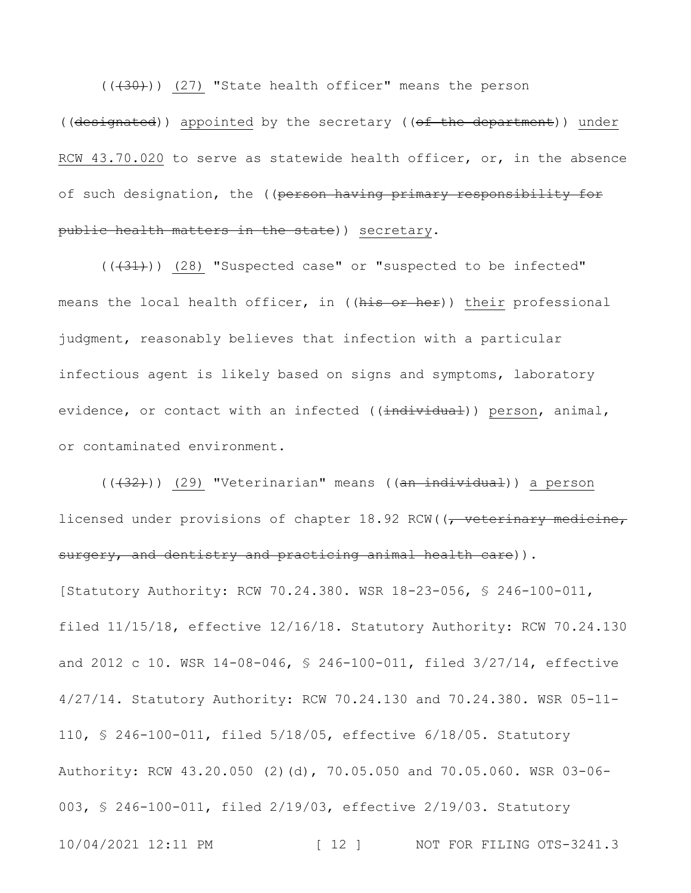$((+30))$  (27) "State health officer" means the person ((designated)) appointed by the secretary ((of the department)) under RCW 43.70.020 to serve as statewide health officer, or, in the absence of such designation, the ((person having primary responsibility for public health matters in the state)) secretary.

 $((+31))$  (28) "Suspected case" or "suspected to be infected" means the local health officer, in ((his or her)) their professional judgment, reasonably believes that infection with a particular infectious agent is likely based on signs and symptoms, laboratory evidence, or contact with an infected ((individual)) person, animal, or contaminated environment.

10/04/2021 12:11 PM [ 12 ] NOT FOR FILING OTS-3241.3 (((32))) (29) "Veterinarian" means ((an individual)) a person licensed under provisions of chapter 18.92 RCW((, veterinary medicine, surgery, and dentistry and practicing animal health care)). [Statutory Authority: RCW 70.24.380. WSR 18-23-056, § 246-100-011, filed 11/15/18, effective 12/16/18. Statutory Authority: RCW 70.24.130 and 2012 c 10. WSR 14-08-046, § 246-100-011, filed 3/27/14, effective 4/27/14. Statutory Authority: RCW 70.24.130 and 70.24.380. WSR 05-11- 110, § 246-100-011, filed 5/18/05, effective 6/18/05. Statutory Authority: RCW 43.20.050 (2)(d), 70.05.050 and 70.05.060. WSR 03-06- 003, § 246-100-011, filed 2/19/03, effective 2/19/03. Statutory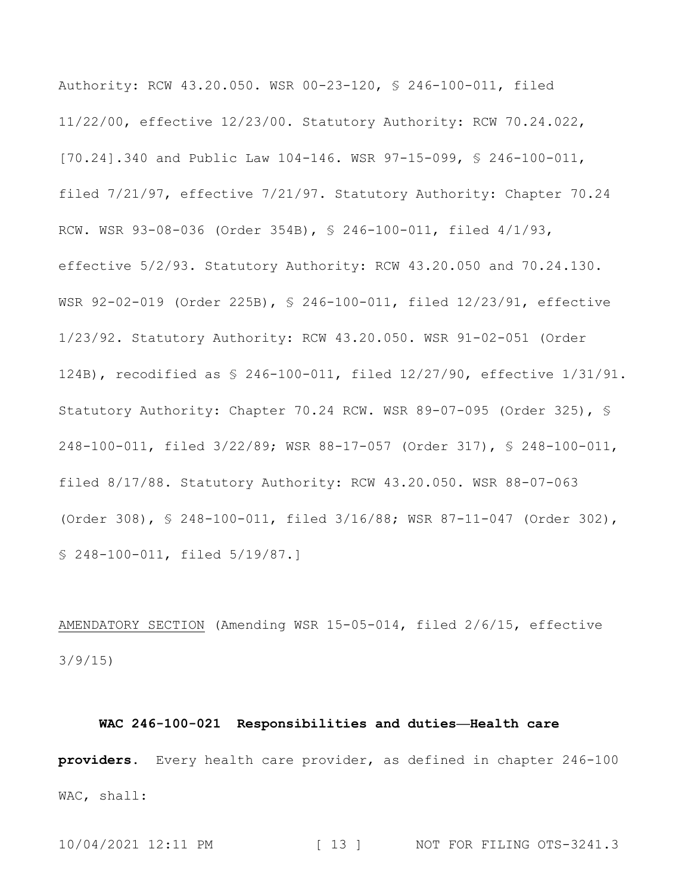Authority: RCW 43.20.050. WSR 00-23-120, § 246-100-011, filed 11/22/00, effective 12/23/00. Statutory Authority: RCW 70.24.022, [70.24].340 and Public Law 104-146. WSR 97-15-099, § 246-100-011, filed 7/21/97, effective 7/21/97. Statutory Authority: Chapter 70.24 RCW. WSR 93-08-036 (Order 354B), § 246-100-011, filed 4/1/93, effective 5/2/93. Statutory Authority: RCW 43.20.050 and 70.24.130. WSR 92-02-019 (Order 225B), § 246-100-011, filed 12/23/91, effective 1/23/92. Statutory Authority: RCW 43.20.050. WSR 91-02-051 (Order 124B), recodified as § 246-100-011, filed 12/27/90, effective 1/31/91. Statutory Authority: Chapter 70.24 RCW. WSR 89-07-095 (Order 325), § 248-100-011, filed 3/22/89; WSR 88-17-057 (Order 317), § 248-100-011, filed 8/17/88. Statutory Authority: RCW 43.20.050. WSR 88-07-063 (Order 308), § 248-100-011, filed 3/16/88; WSR 87-11-047 (Order 302), § 248-100-011, filed 5/19/87.]

AMENDATORY SECTION (Amending WSR 15-05-014, filed 2/6/15, effective 3/9/15)

## **WAC 246-100-021 Responsibilities and duties—Health care providers.** Every health care provider, as defined in chapter 246-100 WAC, shall: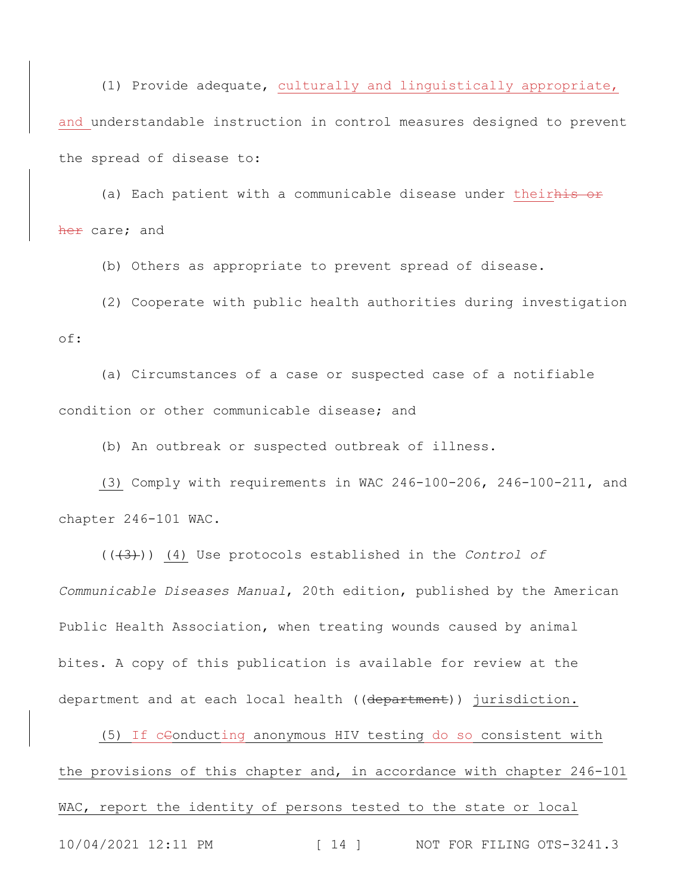(1) Provide adequate, culturally and linguistically appropriate, and understandable instruction in control measures designed to prevent the spread of disease to:

(a) Each patient with a communicable disease under theirhis or her care; and

(b) Others as appropriate to prevent spread of disease.

(2) Cooperate with public health authorities during investigation of:

(a) Circumstances of a case or suspected case of a notifiable condition or other communicable disease; and

(b) An outbreak or suspected outbreak of illness.

(3) Comply with requirements in WAC 246-100-206, 246-100-211, and chapter 246-101 WAC.

(((3))) (4) Use protocols established in the *Control of Communicable Diseases Manual*, 20th edition, published by the American Public Health Association, when treating wounds caused by animal bites. A copy of this publication is available for review at the department and at each local health ((department)) jurisdiction.

10/04/2021 12:11 PM [ 14 ] NOT FOR FILING OTS-3241.3 (5) If ceonducting anonymous HIV testing do so consistent with the provisions of this chapter and, in accordance with chapter 246-101 WAC, report the identity of persons tested to the state or local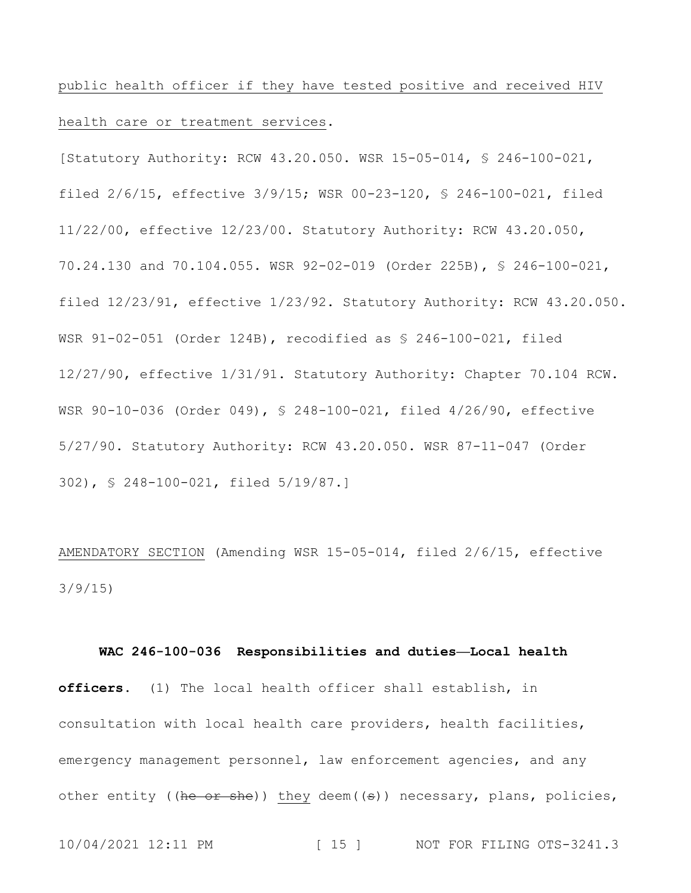public health officer if they have tested positive and received HIV health care or treatment services.

[Statutory Authority: RCW 43.20.050. WSR 15-05-014, § 246-100-021, filed 2/6/15, effective 3/9/15; WSR 00-23-120, § 246-100-021, filed 11/22/00, effective 12/23/00. Statutory Authority: RCW 43.20.050, 70.24.130 and 70.104.055. WSR 92-02-019 (Order 225B), § 246-100-021, filed 12/23/91, effective 1/23/92. Statutory Authority: RCW 43.20.050. WSR 91-02-051 (Order 124B), recodified as § 246-100-021, filed 12/27/90, effective 1/31/91. Statutory Authority: Chapter 70.104 RCW. WSR 90-10-036 (Order 049), § 248-100-021, filed 4/26/90, effective 5/27/90. Statutory Authority: RCW 43.20.050. WSR 87-11-047 (Order 302), § 248-100-021, filed 5/19/87.]

AMENDATORY SECTION (Amending WSR 15-05-014, filed 2/6/15, effective 3/9/15)

### **WAC 246-100-036 Responsibilities and duties—Local health**

**officers.** (1) The local health officer shall establish, in consultation with local health care providers, health facilities, emergency management personnel, law enforcement agencies, and any other entity ((he or she)) they deem( $(\epsilon)$ ) necessary, plans, policies,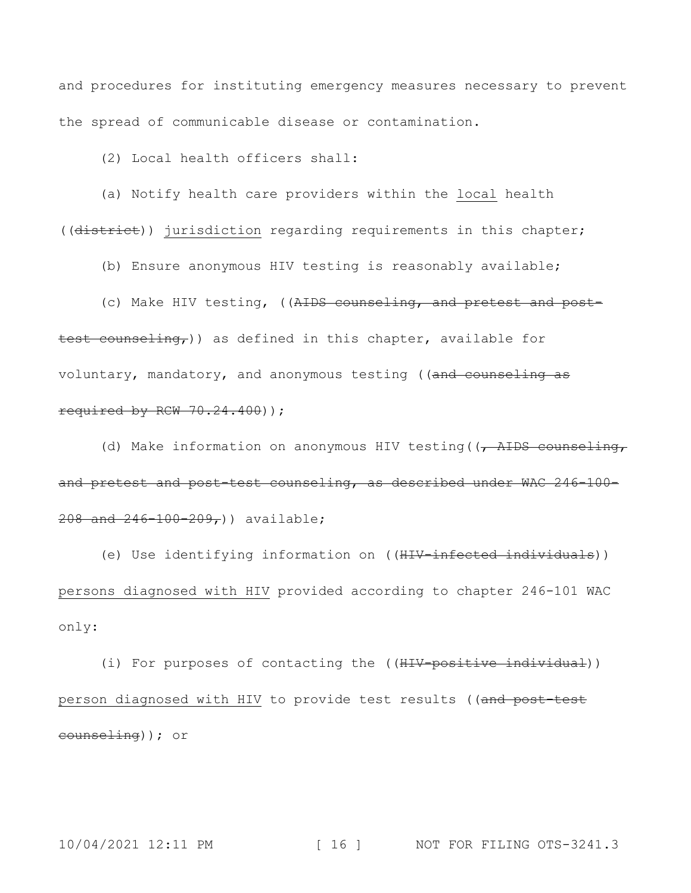and procedures for instituting emergency measures necessary to prevent the spread of communicable disease or contamination.

(2) Local health officers shall:

(a) Notify health care providers within the local health ((district)) jurisdiction regarding requirements in this chapter;

(b) Ensure anonymous HIV testing is reasonably available;

(c) Make HIV testing, ((AIDS counseling, and pretest and post-

test counseling,)) as defined in this chapter, available for voluntary, mandatory, and anonymous testing ((and counseling as required by RCW  $70.24.400$ ));

(d) Make information on anonymous HIV testing ( $\sqrt{A\text{HDS}}$  counseling, and pretest and post-test counseling, as described under WAC 246-100- 208 and 246-100-209,)) available;

(e) Use identifying information on ((HIV-infected individuals)) persons diagnosed with HIV provided according to chapter 246-101 WAC only:

(i) For purposes of contacting the ((HIV-positive individual)) person diagnosed with HIV to provide test results ((and post-test counseling)); or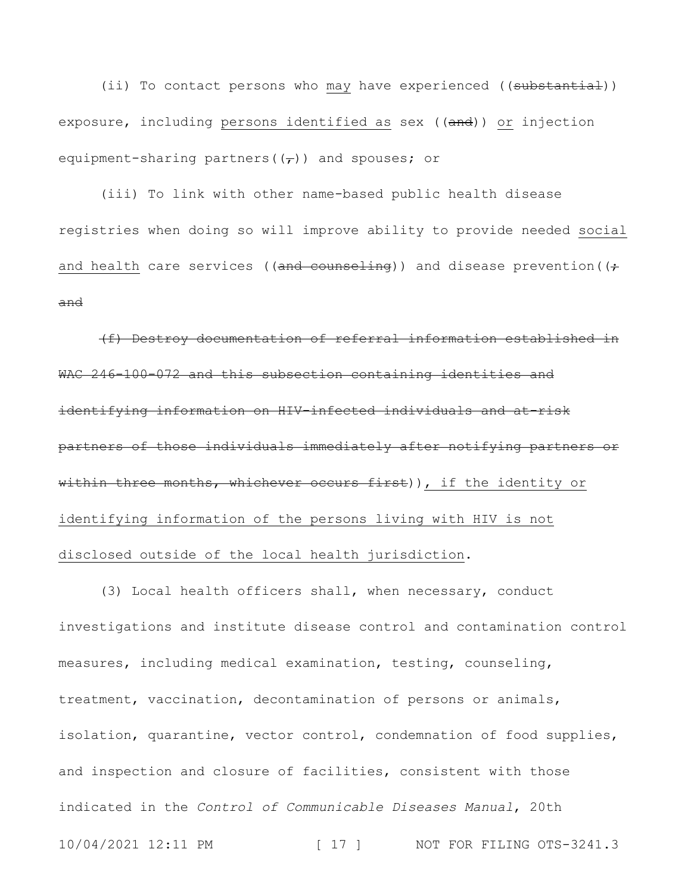(ii) To contact persons who may have experienced ((substantial)) exposure, including persons identified as sex ((and)) or injection equipment-sharing partners  $(\tau)$ ) and spouses; or

(iii) To link with other name-based public health disease registries when doing so will improve ability to provide needed social and health care services ((and counseling)) and disease prevention ( $\leftrightarrow$ and

(f) Destroy documentation of referral information established in WAC 246-100-072 and this subsection containing identities and identifying information on HIV-infected individuals and at-risk partners of those individuals immediately after notifying partners or within three months, whichever occurs first)), if the identity or identifying information of the persons living with HIV is not disclosed outside of the local health jurisdiction.

10/04/2021 12:11 PM [ 17 ] NOT FOR FILING OTS-3241.3 (3) Local health officers shall, when necessary, conduct investigations and institute disease control and contamination control measures, including medical examination, testing, counseling, treatment, vaccination, decontamination of persons or animals, isolation, quarantine, vector control, condemnation of food supplies, and inspection and closure of facilities, consistent with those indicated in the *Control of Communicable Diseases Manual*, 20th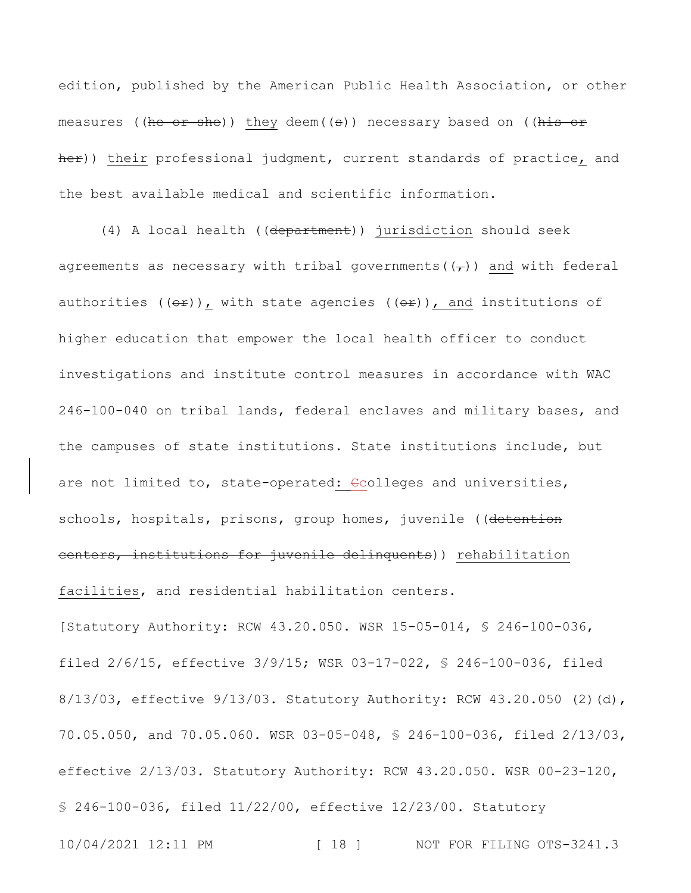edition, published by the American Public Health Association, or other measures ((he or she)) they deem((s)) necessary based on ((his or her)) their professional judgment, current standards of practice, and the best available medical and scientific information.

(4) A local health ((department)) jurisdiction should seek agreements as necessary with tribal governments  $(\tau)$ ) and with federal authorities (( $\theta$ ), with state agencies (( $\theta$ <sup>2</sup>)), and institutions of higher education that empower the local health officer to conduct investigations and institute control measures in accordance with WAC 246-100-040 on tribal lands, federal enclaves and military bases, and the campuses of state institutions. State institutions include, but are not limited to, state-operated: Gcolleges and universities, schools, hospitals, prisons, group homes, juvenile ((detention centers, institutions for juvenile delinquents)) rehabilitation facilities, and residential habilitation centers.

10/04/2021 12:11 PM [ 18 ] NOT FOR FILING OTS-3241.3 [Statutory Authority: RCW 43.20.050. WSR 15-05-014, § 246-100-036, filed 2/6/15, effective 3/9/15; WSR 03-17-022, § 246-100-036, filed 8/13/03, effective 9/13/03. Statutory Authority: RCW 43.20.050 (2)(d), 70.05.050, and 70.05.060. WSR 03-05-048, § 246-100-036, filed 2/13/03, effective 2/13/03. Statutory Authority: RCW 43.20.050. WSR 00-23-120, § 246-100-036, filed 11/22/00, effective 12/23/00. Statutory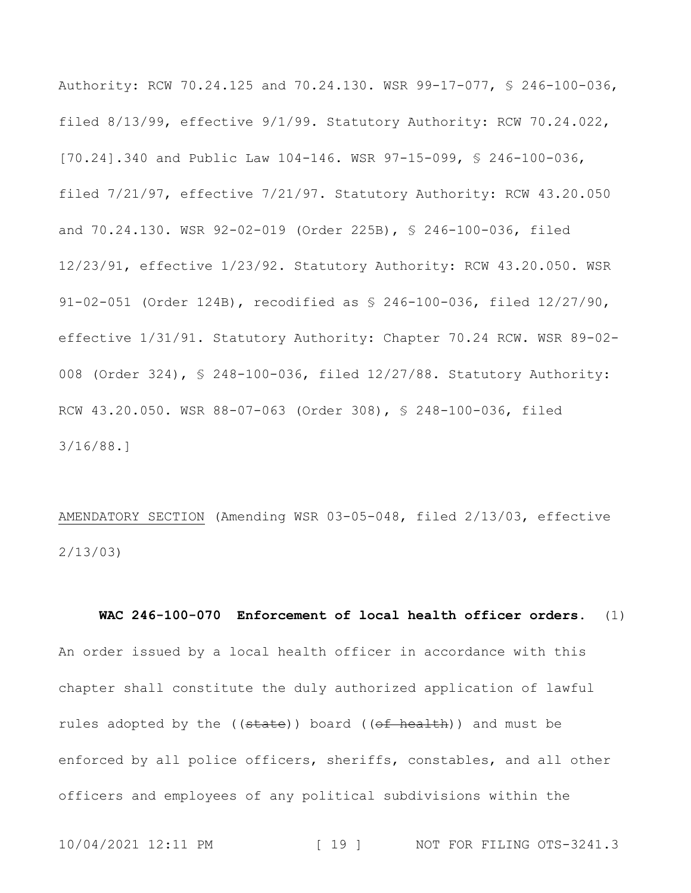Authority: RCW 70.24.125 and 70.24.130. WSR 99-17-077, § 246-100-036, filed 8/13/99, effective 9/1/99. Statutory Authority: RCW 70.24.022, [70.24].340 and Public Law 104-146. WSR 97-15-099, § 246-100-036, filed 7/21/97, effective 7/21/97. Statutory Authority: RCW 43.20.050 and 70.24.130. WSR 92-02-019 (Order 225B), § 246-100-036, filed 12/23/91, effective 1/23/92. Statutory Authority: RCW 43.20.050. WSR 91-02-051 (Order 124B), recodified as § 246-100-036, filed 12/27/90, effective 1/31/91. Statutory Authority: Chapter 70.24 RCW. WSR 89-02- 008 (Order 324), § 248-100-036, filed 12/27/88. Statutory Authority: RCW 43.20.050. WSR 88-07-063 (Order 308), § 248-100-036, filed 3/16/88.]

AMENDATORY SECTION (Amending WSR 03-05-048, filed 2/13/03, effective 2/13/03)

**WAC 246-100-070 Enforcement of local health officer orders.** (1) An order issued by a local health officer in accordance with this chapter shall constitute the duly authorized application of lawful rules adopted by the ((state)) board ((of health)) and must be enforced by all police officers, sheriffs, constables, and all other officers and employees of any political subdivisions within the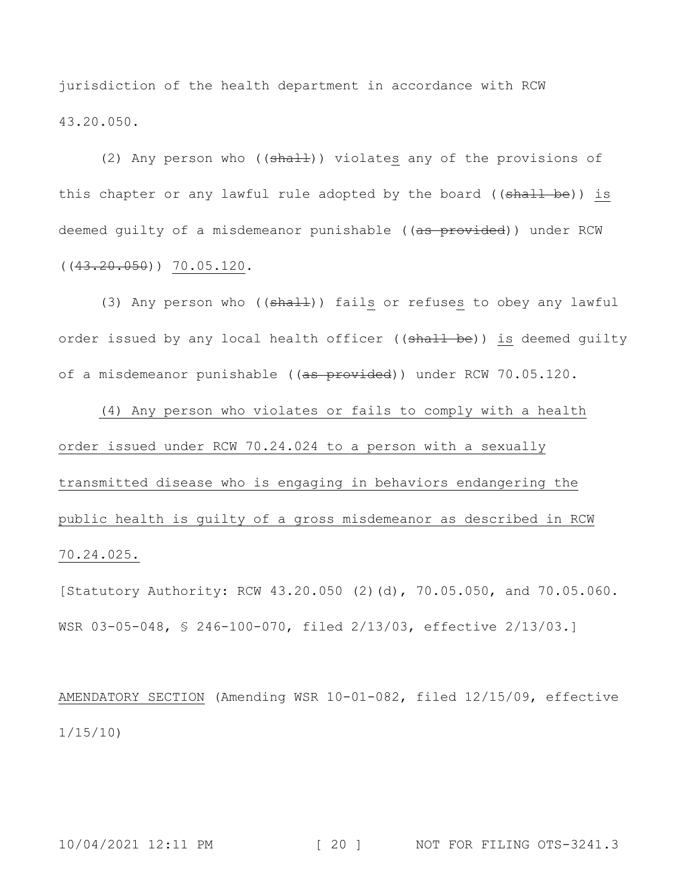jurisdiction of the health department in accordance with RCW 43.20.050.

(2) Any person who  $((shall))$  violates any of the provisions of this chapter or any lawful rule adopted by the board ((shall be)) is deemed quilty of a misdemeanor punishable ((as provided)) under RCW  $((43.20.050))$  70.05.120.

(3) Any person who ((shall)) fails or refuses to obey any lawful order issued by any local health officer ((shall be)) is deemed guilty of a misdemeanor punishable ((<del>as provided</del>)) under RCW 70.05.120.

(4) Any person who violates or fails to comply with a health order issued under RCW 70.24.024 to a person with a sexually transmitted disease who is engaging in behaviors endangering the public health is guilty of a gross misdemeanor as described in RCW 70.24.025.

[Statutory Authority: RCW 43.20.050 (2)(d), 70.05.050, and 70.05.060. WSR 03-05-048, § 246-100-070, filed 2/13/03, effective 2/13/03.]

AMENDATORY SECTION (Amending WSR 10-01-082, filed 12/15/09, effective 1/15/10)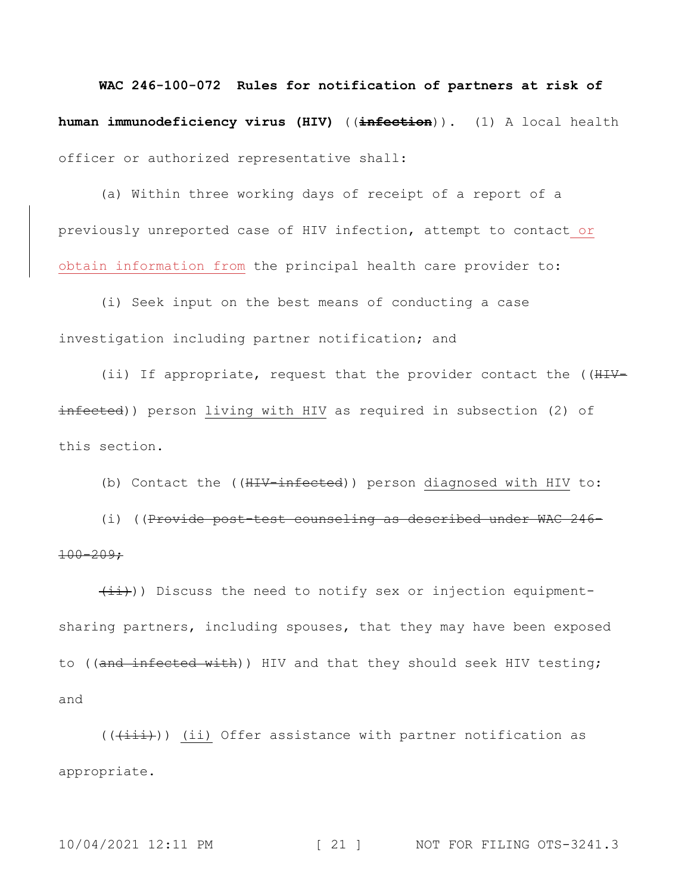**WAC 246-100-072 Rules for notification of partners at risk of human immunodeficiency virus (HIV)** ((**infection**))**.** (1) A local health officer or authorized representative shall:

(a) Within three working days of receipt of a report of a previously unreported case of HIV infection, attempt to contact or obtain information from the principal health care provider to:

(i) Seek input on the best means of conducting a case investigation including partner notification; and

(ii) If appropriate, request that the provider contact the ((HIVinfected)) person living with HIV as required in subsection (2) of this section.

(b) Contact the ((HIV-infected)) person diagnosed with HIV to:

(i) ((Provide post-test counseling as described under WAC 246- 100-209;

 $(iii)$ ) Discuss the need to notify sex or injection equipmentsharing partners, including spouses, that they may have been exposed to ((and infected with)) HIV and that they should seek HIV testing; and

 $((\overrightarrow{+i\text{+}}))$  (ii) Offer assistance with partner notification as appropriate.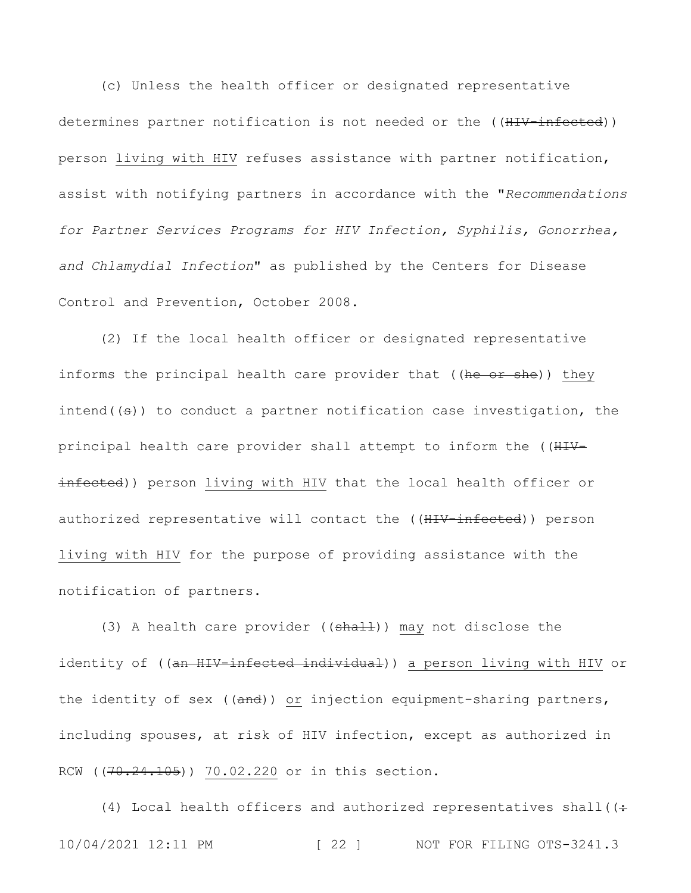(c) Unless the health officer or designated representative determines partner notification is not needed or the ((HIV-infected)) person living with HIV refuses assistance with partner notification, assist with notifying partners in accordance with the "*Recommendations for Partner Services Programs for HIV Infection, Syphilis, Gonorrhea, and Chlamydial Infection*" as published by the Centers for Disease Control and Prevention, October 2008.

(2) If the local health officer or designated representative informs the principal health care provider that ((he or she)) they intend( $(\theta)$ ) to conduct a partner notification case investigation, the principal health care provider shall attempt to inform the ((HIVinfected)) person living with HIV that the local health officer or authorized representative will contact the ((HIV-infected)) person living with HIV for the purpose of providing assistance with the notification of partners.

(3) A health care provider ( $(\text{shall})$ ) may not disclose the identity of ((an HIV-infected individual)) a person living with HIV or the identity of sex ((and)) or injection equipment-sharing partners, including spouses, at risk of HIV infection, except as authorized in RCW ((70.24.105)) 70.02.220 or in this section.

10/04/2021 12:11 PM [ 22 ] NOT FOR FILING OTS-3241.3 (4) Local health officers and authorized representatives shall( $($ :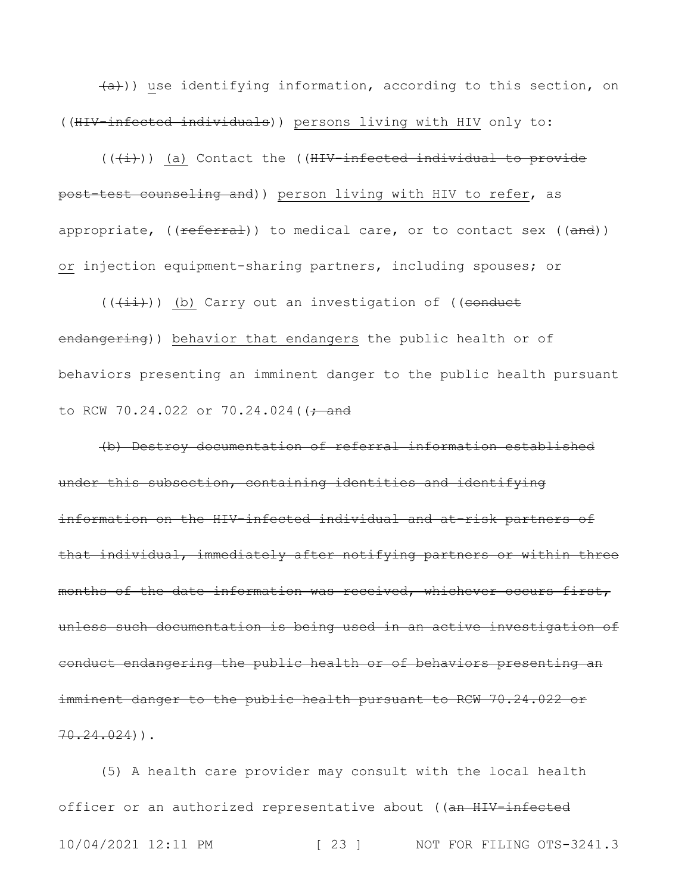(a))) use identifying information, according to this section, on ((HIV-infected individuals)) persons living with HIV only to:

 $((+i))$  (a) Contact the ((HIV-infected individual to provide post-test counseling and)) person living with HIV to refer, as appropriate,  $((\text{referral}))$  to medical care, or to contact sex  $((\text{and}))$ or injection equipment-sharing partners, including spouses; or

 $((\overrightarrow{+i})$ ) (b) Carry out an investigation of ((conduct endangering)) behavior that endangers the public health or of behaviors presenting an imminent danger to the public health pursuant to RCW 70.24.022 or 70.24.024( $(-$ and

(b) Destroy documentation of referral information established under this subsection, containing identities and identifying information on the HIV-infected individual and at-risk partners of that individual, immediately after notifying partners or within three months of the date information was received, whichever occurs first, unless such documentation is being used in an active investigation of conduct endangering the public health or of behaviors presenting an imminent danger to the public health pursuant to RCW 70.24.022 or  $70.24.024)$ ).

10/04/2021 12:11 PM [ 23 ] NOT FOR FILING OTS-3241.3 (5) A health care provider may consult with the local health officer or an authorized representative about ((an HIV-infected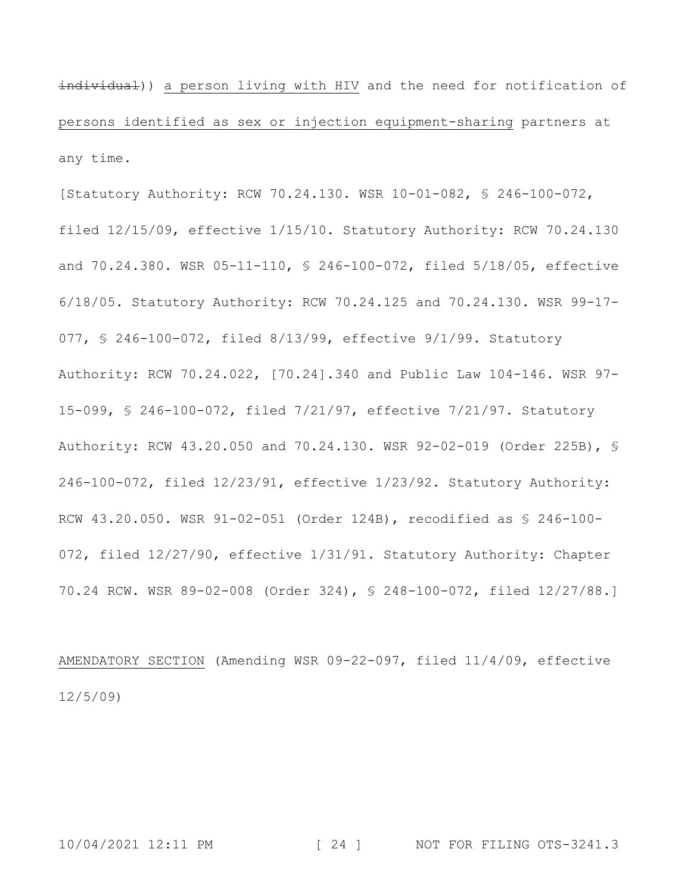individual)) a person living with HIV and the need for notification of persons identified as sex or injection equipment-sharing partners at any time.

[Statutory Authority: RCW 70.24.130. WSR 10-01-082, § 246-100-072, filed 12/15/09, effective 1/15/10. Statutory Authority: RCW 70.24.130 and 70.24.380. WSR 05-11-110, § 246-100-072, filed 5/18/05, effective 6/18/05. Statutory Authority: RCW 70.24.125 and 70.24.130. WSR 99-17- 077, § 246-100-072, filed 8/13/99, effective 9/1/99. Statutory Authority: RCW 70.24.022, [70.24].340 and Public Law 104-146. WSR 97- 15-099, § 246-100-072, filed 7/21/97, effective 7/21/97. Statutory Authority: RCW 43.20.050 and 70.24.130. WSR 92-02-019 (Order 225B), § 246-100-072, filed 12/23/91, effective 1/23/92. Statutory Authority: RCW 43.20.050. WSR 91-02-051 (Order 124B), recodified as § 246-100- 072, filed 12/27/90, effective 1/31/91. Statutory Authority: Chapter 70.24 RCW. WSR 89-02-008 (Order 324), § 248-100-072, filed 12/27/88.]

AMENDATORY SECTION (Amending WSR 09-22-097, filed 11/4/09, effective 12/5/09)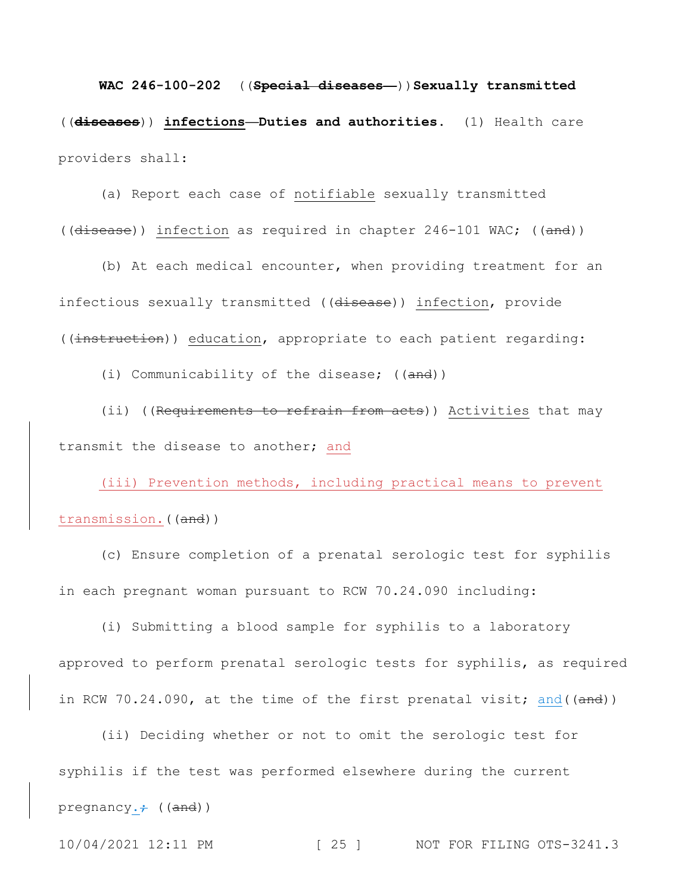**WAC 246-100-202** ((**Special diseases—**))**Sexually transmitted**  ((**diseases**)) **infections—Duties and authorities.** (1) Health care providers shall:

(a) Report each case of notifiable sexually transmitted ((disease)) infection as required in chapter 246-101 WAC; ((and))

(b) At each medical encounter, when providing treatment for an infectious sexually transmitted ((disease)) infection, provide ((instruction)) education, appropriate to each patient regarding:

(i) Communicability of the disease; ((and))

(ii) ((Requirements to refrain from acts)) Activities that may transmit the disease to another; and

(iii) Prevention methods, including practical means to prevent transmission.((and))

(c) Ensure completion of a prenatal serologic test for syphilis in each pregnant woman pursuant to RCW 70.24.090 including:

(i) Submitting a blood sample for syphilis to a laboratory approved to perform prenatal serologic tests for syphilis, as required in RCW 70.24.090, at the time of the first prenatal visit; and((and))

(ii) Deciding whether or not to omit the serologic test for syphilis if the test was performed elsewhere during the current pregnancy. $\div$  ((and))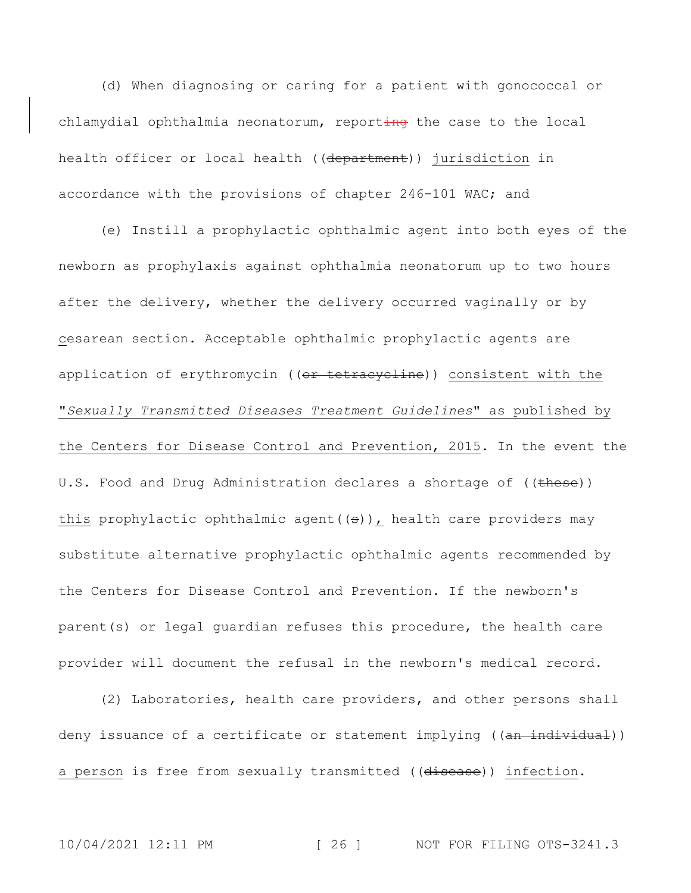(d) When diagnosing or caring for a patient with gonococcal or chlamydial ophthalmia neonatorum, reporting the case to the local health officer or local health ((department)) jurisdiction in accordance with the provisions of chapter 246-101 WAC; and

(e) Instill a prophylactic ophthalmic agent into both eyes of the newborn as prophylaxis against ophthalmia neonatorum up to two hours after the delivery, whether the delivery occurred vaginally or by cesarean section. Acceptable ophthalmic prophylactic agents are application of erythromycin ((or tetracycline)) consistent with the "*Sexually Transmitted Diseases Treatment Guidelines*" as published by the Centers for Disease Control and Prevention, 2015. In the event the U.S. Food and Drug Administration declares a shortage of ((these)) this prophylactic ophthalmic agent  $((s))$ , health care providers may substitute alternative prophylactic ophthalmic agents recommended by the Centers for Disease Control and Prevention. If the newborn's parent(s) or legal guardian refuses this procedure, the health care provider will document the refusal in the newborn's medical record.

(2) Laboratories, health care providers, and other persons shall deny issuance of a certificate or statement implying ((an individual)) a person is free from sexually transmitted ((disease)) infection.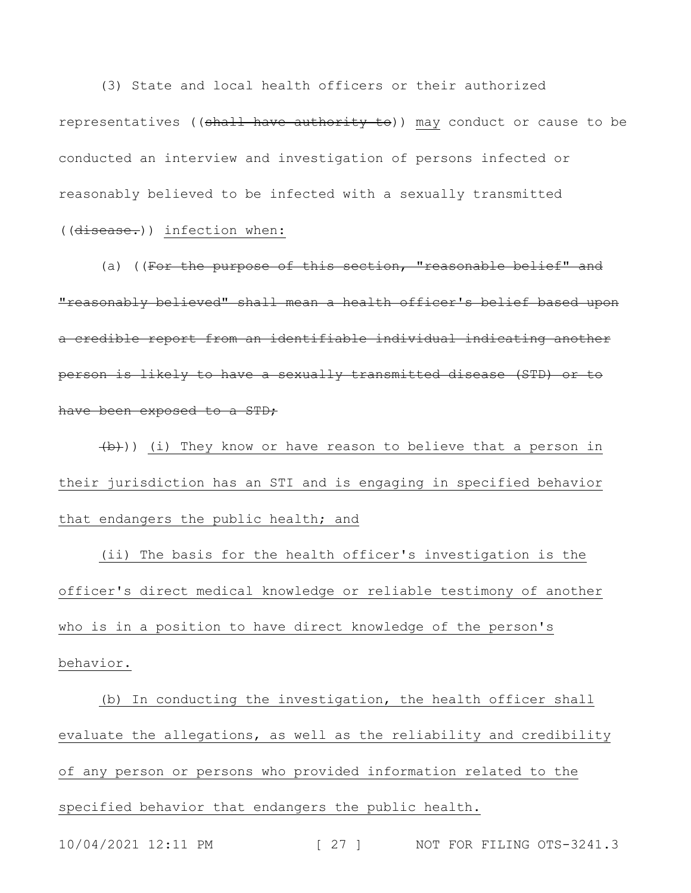(3) State and local health officers or their authorized representatives ((shall have authority to)) may conduct or cause to be conducted an interview and investigation of persons infected or reasonably believed to be infected with a sexually transmitted ((disease.)) infection when:

(a) ((For the purpose of this section, "reasonable belief" and "reasonably believed" shall mean a health officer's belief based upon a credible report from an identifiable individual indicating another person is likely to have a sexually transmitted disease (STD) or to have been exposed to a STD;

 $(\overline{b})$ ) (i) They know or have reason to believe that a person in their jurisdiction has an STI and is engaging in specified behavior that endangers the public health; and

(ii) The basis for the health officer's investigation is the officer's direct medical knowledge or reliable testimony of another who is in a position to have direct knowledge of the person's behavior.

(b) In conducting the investigation, the health officer shall evaluate the allegations, as well as the reliability and credibility of any person or persons who provided information related to the specified behavior that endangers the public health.

10/04/2021 12:11 PM [ 27 ] NOT FOR FILING OTS-3241.3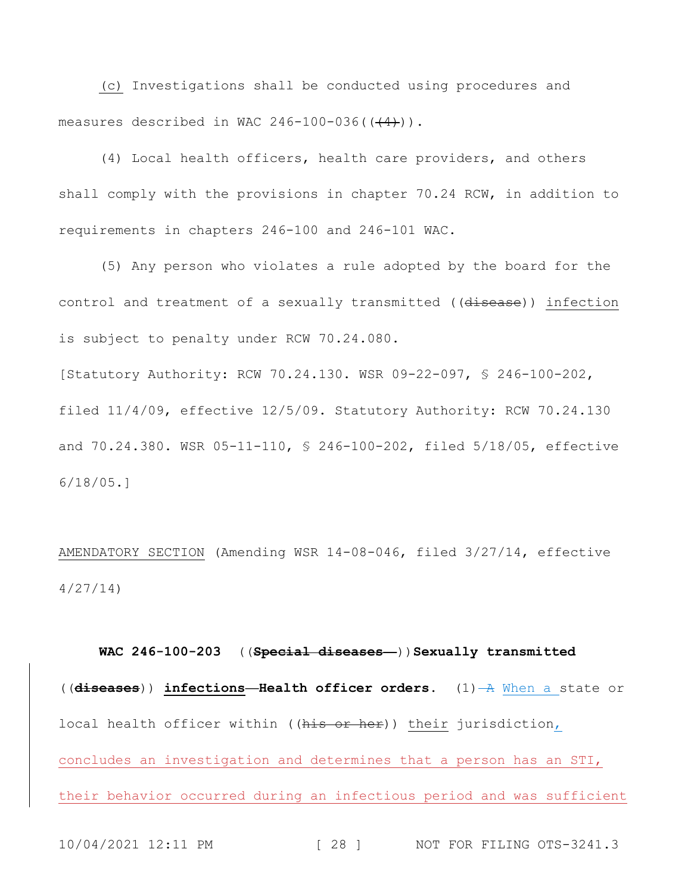(c) Investigations shall be conducted using procedures and measures described in WAC 246-100-036( $(\frac{4}{4})$ ).

(4) Local health officers, health care providers, and others shall comply with the provisions in chapter 70.24 RCW, in addition to requirements in chapters 246-100 and 246-101 WAC.

(5) Any person who violates a rule adopted by the board for the control and treatment of a sexually transmitted ((disease)) infection is subject to penalty under RCW 70.24.080.

[Statutory Authority: RCW 70.24.130. WSR 09-22-097, § 246-100-202, filed 11/4/09, effective 12/5/09. Statutory Authority: RCW 70.24.130 and 70.24.380. WSR 05-11-110, § 246-100-202, filed 5/18/05, effective 6/18/05.]

AMENDATORY SECTION (Amending WSR 14-08-046, filed 3/27/14, effective 4/27/14)

**WAC 246-100-203** ((**Special diseases—**))**Sexually transmitted**  ((**diseases**)) **infections—Health officer orders.** (1) A When a state or local health officer within ((his or her)) their jurisdiction, concludes an investigation and determines that a person has an STI, their behavior occurred during an infectious period and was sufficient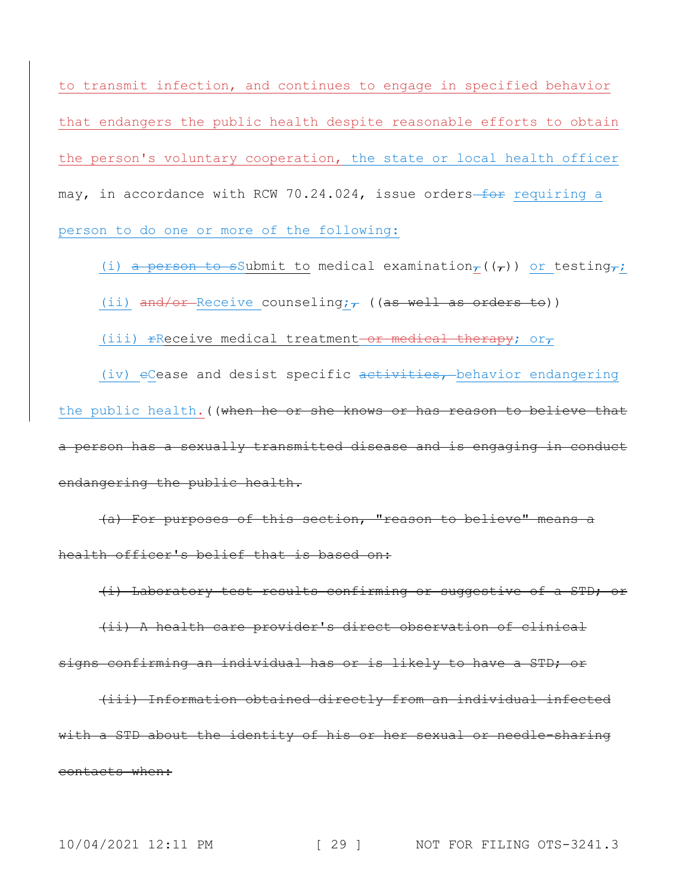to transmit infection, and continues to engage in specified behavior that endangers the public health despite reasonable efforts to obtain the person's voluntary cooperation, the state or local health officer may, in accordance with RCW 70.24.024, issue orders-for requiring a person to do one or more of the following:

(i) a person to sSubmit to medical examination<sub> $\tau$ </sub>(( $\tau$ )) or testing $\tau$ ;

(ii) and/or-Receive counseling; $\tau$  ((as well as orders to))

(iii)  $r$ Receive medical treatment or medical therapy; or,

(iv)  $e$ Cease and desist specific  $a$ ctivities, behavior endangering the public health. ((when he or she knows or has reason to believe that a person has a sexually transmitted disease and is engaging in conduct endangering the public health.

(a) For purposes of this section, "reason to believe" means a health officer's belief that is based on:

(i) Laboratory test results confirming or suggestive of a STD; or (ii) A health care provider's direct observation of clinical

signs confirming an individual has or is likely to have a STD; or

(iii) Information obtained directly from an individual infected with a STD about the identity of his or her sexual or needle-sharing contacts when: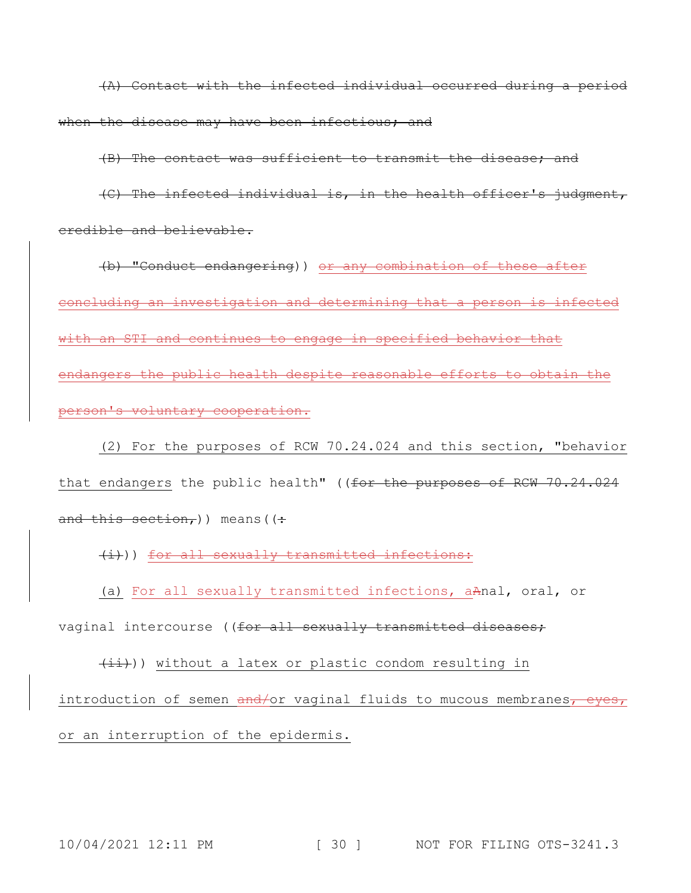(A) Contact with the infected individual occurred during a period when the disease may have been infectious; and

(B) The contact was sufficient to transmit the disease; and

(C) The infected individual is, in the health officer's judgment, credible and believable.

(b) "Conduct endangering)) or any combination of these after concluding an investigation and determining that a person is infected with an STI and continues to engage in specified behavior that endangers the public health despite reasonable efforts to obtain the person's voluntary cooperation.

(2) For the purposes of RCW 70.24.024 and this section, "behavior that endangers the public health" ((for the purposes of RCW 70.24.024 and this section, ) means ( $($ .

(i))) for all sexually transmitted infections:

(a) For all sexually transmitted infections, aAnal, oral, or

vaginal intercourse ((for all sexually transmitted diseases;

 $(i)$ )) without a latex or plastic condom resulting in introduction of semen and/or vaginal fluids to mucous membranes, eyes, or an interruption of the epidermis.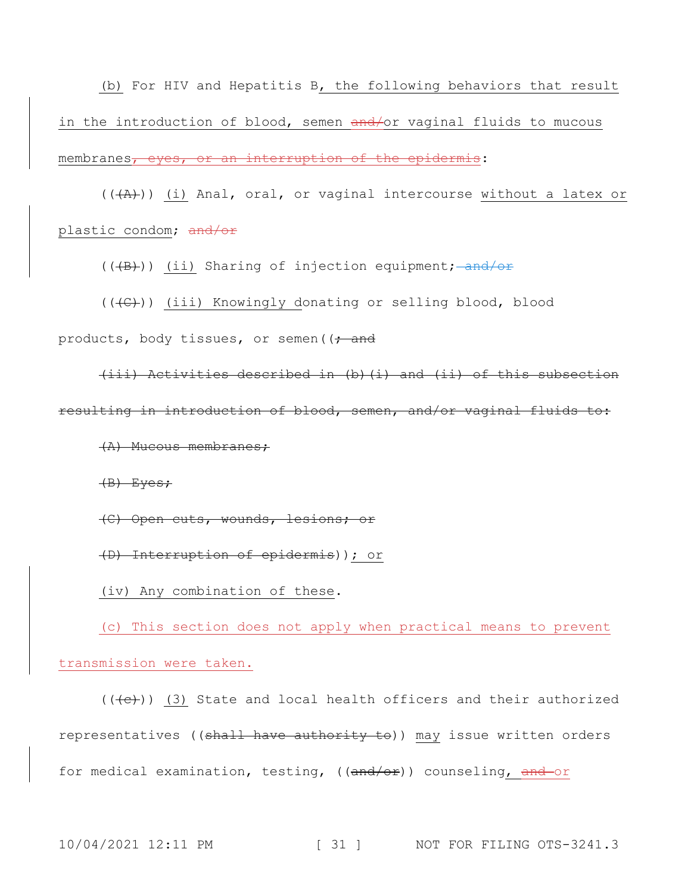(b) For HIV and Hepatitis B, the following behaviors that result in the introduction of blood, semen and/or vaginal fluids to mucous membranes, eyes, or an interruption of the epidermis:

 $((+A))$  (i) Anal, oral, or vaginal intercourse without a latex or plastic condom; and/or

(((B))) (ii) Sharing of injection equipment; and/or

(((C))) (iii) Knowingly donating or selling blood, blood products, body tissues, or semen( $\left( \frac{1}{f} \right)$  and

(iii) Activities described in (b)(i) and (ii) of this subsection resulting in introduction of blood, semen, and/or vaginal fluids to:

(A) Mucous membranes;

(B) Eyes;

(C) Open cuts, wounds, lesions; or

(D) Interruption of epidermis)); or

(iv) Any combination of these.

(c) This section does not apply when practical means to prevent transmission were taken.

 $((+e))$  (3) State and local health officers and their authorized representatives ((shall have authority to)) may issue written orders for medical examination, testing, ((and/or)) counseling, and-or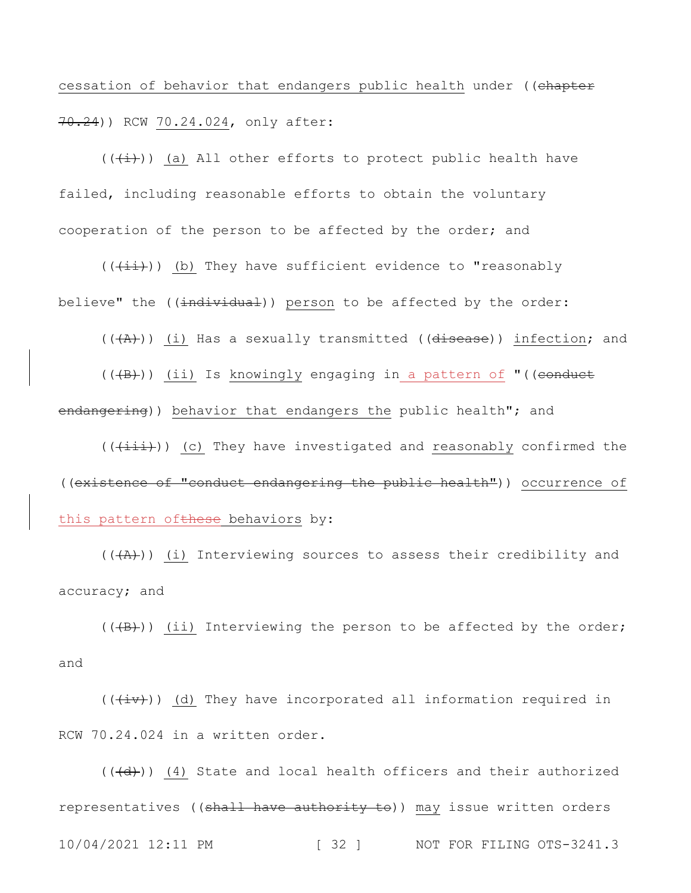cessation of behavior that endangers public health under ((chapter 70.24)) RCW 70.24.024, only after:

 $((+\frac{1}{2}))$  (a) All other efforts to protect public health have failed, including reasonable efforts to obtain the voluntary cooperation of the person to be affected by the order; and

 $((+i+))$  (b) They have sufficient evidence to "reasonably believe" the ((individual)) person to be affected by the order:

 $((+A))$  (i) Has a sexually transmitted (( $\frac{d}{1}$  infection; and

 $((+B))$  (ii) Is knowingly engaging in a pattern of "((conduct endangering)) behavior that endangers the public health"; and

 $((\overrightarrow{+i\texttt{i})})$  (c) They have investigated and reasonably confirmed the ((existence of "conduct endangering the public health")) occurrence of this pattern ofthese behaviors by:

 $((+A))$  (i) Interviewing sources to assess their credibility and accuracy; and

 $((+B))$  (ii) Interviewing the person to be affected by the order; and

 $((+iv))$  (d) They have incorporated all information required in RCW 70.24.024 in a written order.

10/04/2021 12:11 PM [ 32 ] NOT FOR FILING OTS-3241.3  $((\overline{d}))$  (4) State and local health officers and their authorized representatives ((shall have authority to)) may issue written orders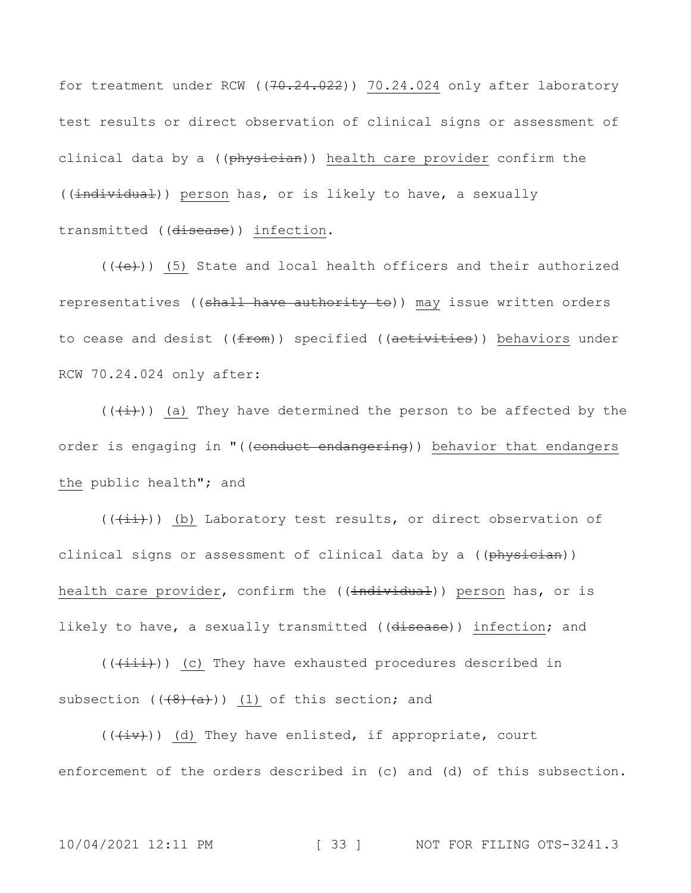for treatment under RCW ( $(70.24.022)$ )  $70.24.024$  only after laboratory test results or direct observation of clinical signs or assessment of clinical data by a ((physician)) health care provider confirm the ((individual)) person has, or is likely to have, a sexually transmitted ((disease)) infection.

 $((+e))$  (5) State and local health officers and their authorized representatives ((shall have authority to)) may issue written orders to cease and desist ((from)) specified ((activities)) behaviors under RCW 70.24.024 only after:

 $((+\frac{1}{2})^n)$  (a) They have determined the person to be affected by the order is engaging in "((conduct endangering)) behavior that endangers the public health"; and

 $((\overrightarrow{+i}))$  (b) Laboratory test results, or direct observation of clinical signs or assessment of clinical data by a ((physician)) health care provider, confirm the ((individual)) person has, or is likely to have, a sexually transmitted ((disease)) infection; and

 $((+iii))$  (c) They have exhausted procedures described in subsection  $((\frac{4}{8}, \frac{1}{4})$ ) (1) of this section; and

 $((+iv))$  (d) They have enlisted, if appropriate, court enforcement of the orders described in (c) and (d) of this subsection.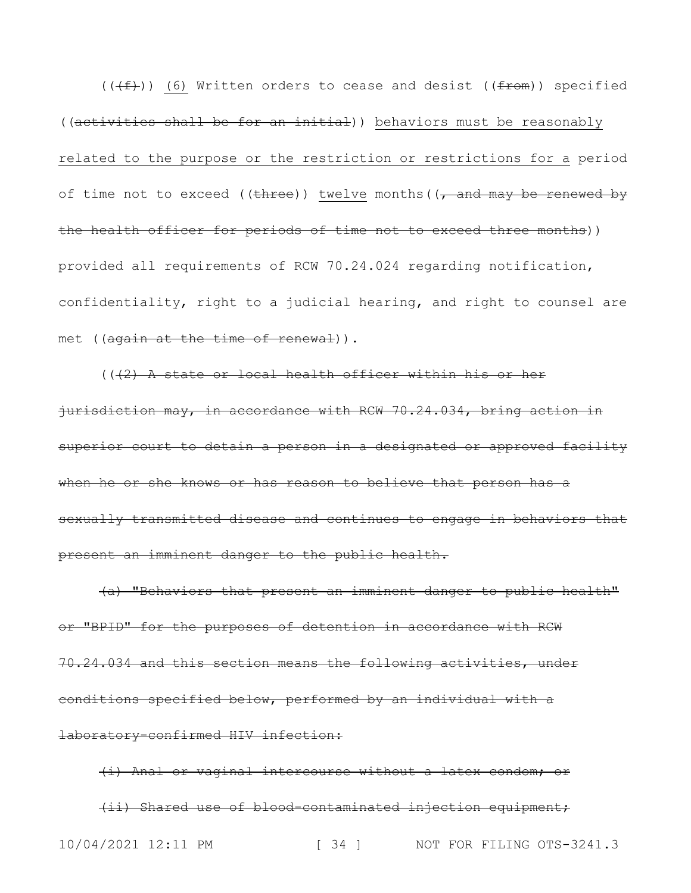$((\text{#}))$  (6) Written orders to cease and desist (( $\text{from})$ ) specified ((activities shall be for an initial)) behaviors must be reasonably related to the purpose or the restriction or restrictions for a period of time not to exceed (( $t$ hree)) twelve months( $\frac{1}{t}$  and may be renewed by the health officer for periods of time not to exceed three months)) provided all requirements of RCW 70.24.024 regarding notification, confidentiality, right to a judicial hearing, and right to counsel are met ((again at the time of renewal)).

 $((42)$  A state or local health officer within his or her jurisdiction may, in accordance with RCW 70.24.034, bring action in superior court to detain a person in a designated or approved facility when he or she knows or has reason to believe that person has a sexually transmitted disease and continues to engage in behaviors that present an imminent danger to the public health.

(a) "Behaviors that present an imminent danger to public health" or "BPID" for the purposes of detention in accordance with RCW 70.24.034 and this section means the following activities, under conditions specified below, performed by an individual with a laboratory-confirmed HIV infection:

10/04/2021 12:11 PM [ 34 ] NOT FOR FILING OTS-3241.3 (i) Anal or vaginal intercourse without a latex condom; or (ii) Shared use of blood-contaminated injection equipment;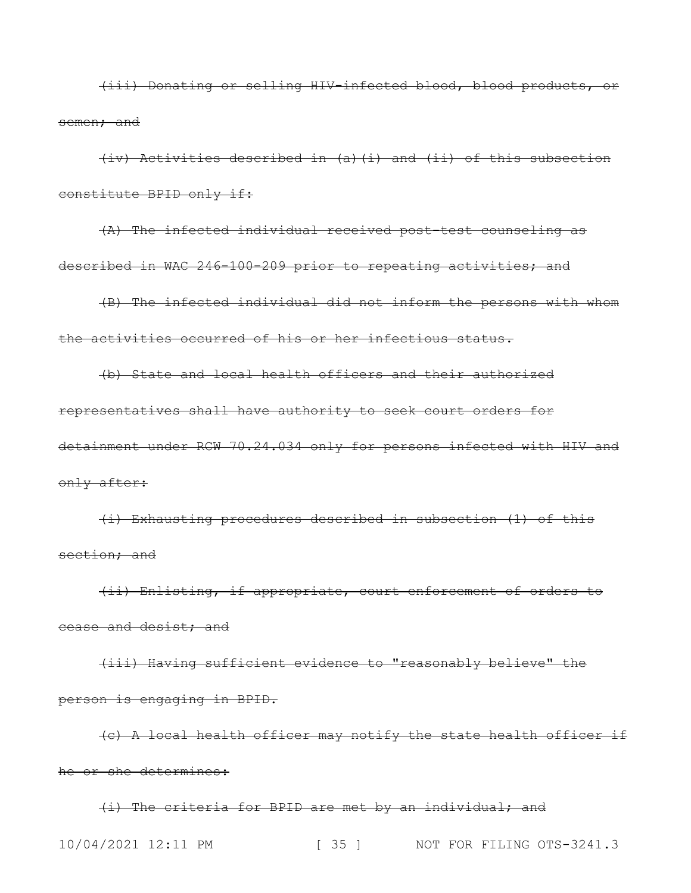(iii) Donating or selling HIV-infected blood, blood products, or semen; and

(iv) Activities described in (a)(i) and (ii) of this subsection constitute BPID only if:

(A) The infected individual received post-test counseling as described in WAC 246-100-209 prior to repeating activities; and

(B) The infected individual did not inform the persons with whom the activities occurred of his or her infectious status.

(b) State and local health officers and their authorized representatives shall have authority to seek court orders for detainment under RCW 70.24.034 only for persons infected with HIV and only after:

(i) Exhausting procedures described in subsection (1) of this section; and

(ii) Enlisting, if appropriate, court enforcement of orders to cease and desist; and

(iii) Having sufficient evidence to "reasonably believe" the person is engaging in BPID.

(c) A local health officer may notify the state health officer if he or she determines:

10/04/2021 12:11 PM [ 35 ] NOT FOR FILING OTS-3241.3 (i) The criteria for BPID are met by an individual; and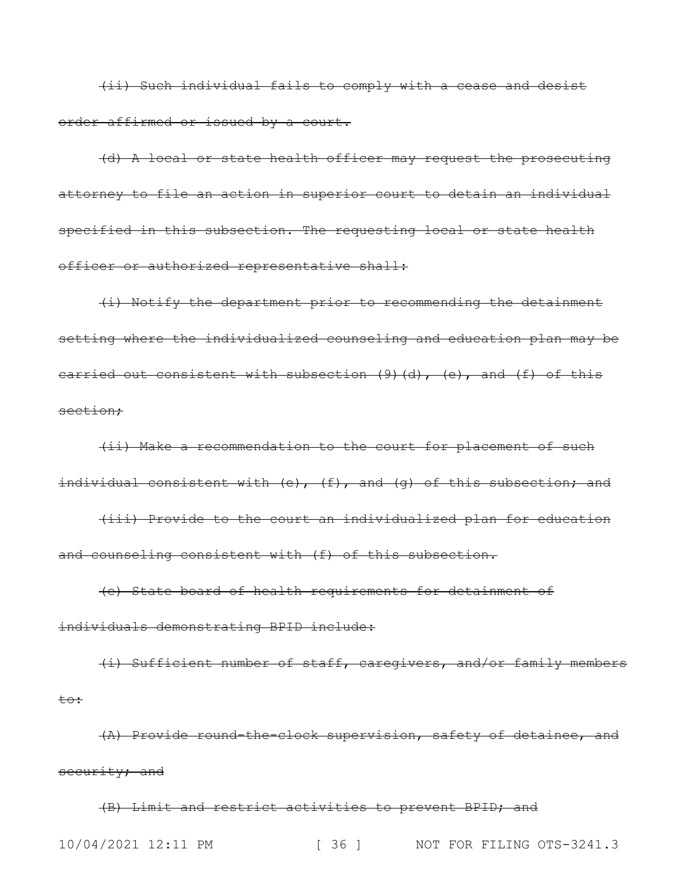(ii) Such individual fails to comply with a cease and desist order affirmed or issued by a court.

(d) A local or state health officer may request the prosecuting attorney to file an action in superior court to detain an individual specified in this subsection. The requesting local or state health officer or authorized representative shall:

(i) Notify the department prior to recommending the detainment setting where the individualized counseling and education plan may be carried out consistent with subsection  $(9)$   $(d)$ ,  $(e)$ , and  $(f)$  of this section;

(ii) Make a recommendation to the court for placement of such individual consistent with (e), (f), and (g) of this subsection; and

(iii) Provide to the court an individualized plan for education and counseling consistent with (f) of this subsection.

(e) State board of health requirements for detainment of individuals demonstrating BPID include:

(i) Sufficient number of staff, caregivers, and/or family members to:

(A) Provide round-the-clock supervision, safety of detainee, and security; and

10/04/2021 12:11 PM [ 36 ] NOT FOR FILING OTS-3241.3 (B) Limit and restrict activities to prevent BPID; and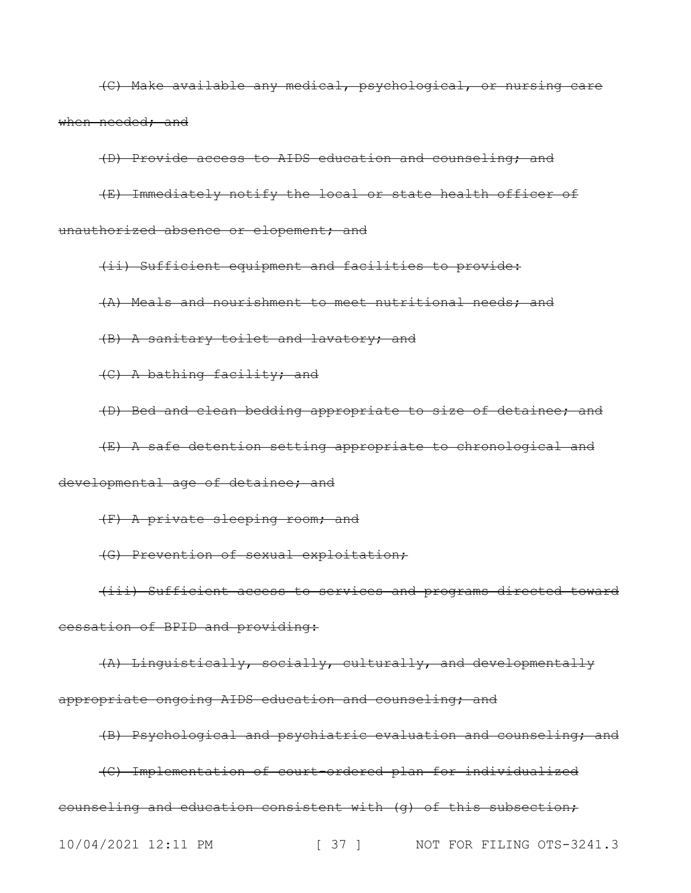(C) Make available any medical, psychological, or nursing care when needed; and

(D) Provide access to AIDS education and counseling; and

(E) Immediately notify the local or state health officer of unauthorized absence or elopement; and

(ii) Sufficient equipment and facilities to provide: (A) Meals and nourishment to meet nutritional needs; and (B) A sanitary toilet and lavatory; and

(C) A bathing facility; and

(D) Bed and clean bedding appropriate to size of detainee; and

(E) A safe detention setting appropriate to chronological and developmental age of detainee; and

(F) A private sleeping room; and

(G) Prevention of sexual exploitation;

(iii) Sufficient access to services and programs directed toward cessation of BPID and providing:

(A) Linguistically, socially, culturally, and developmentally appropriate ongoing AIDS education and counseling; and

(B) Psychological and psychiatric evaluation and counseling; and

(C) Implementation of court-ordered plan for individualized

counseling and education consistent with (g) of this subsection;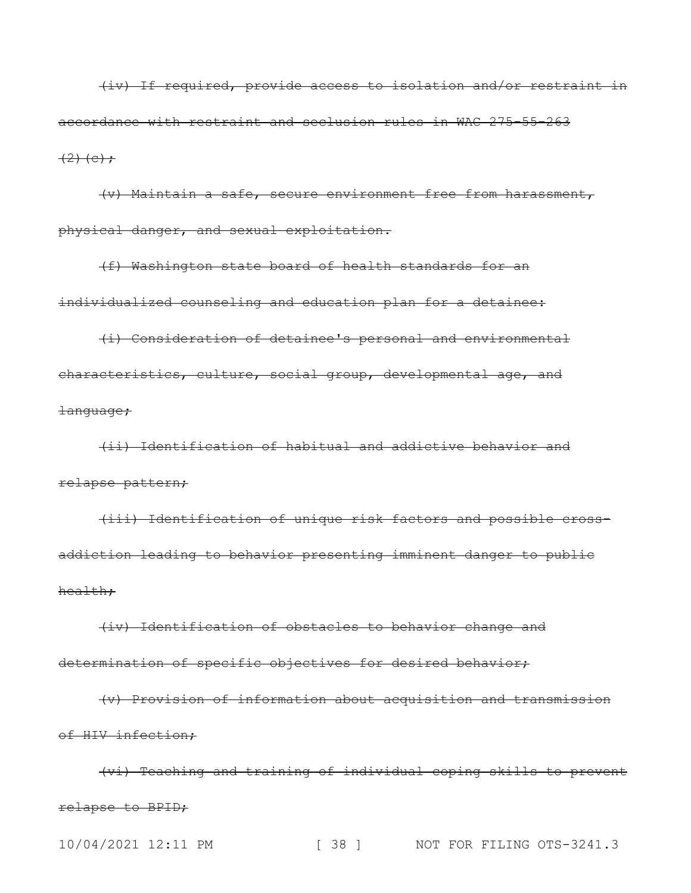(iv) If required, provide access to isolation and/or restraint in accordance with restraint and seclusion rules in WAC 275-55-263  $(2)$  (e);

(v) Maintain a safe, secure environment free from harassment, physical danger, and sexual exploitation.

(f) Washington state board of health standards for an individualized counseling and education plan for a detainee:

(i) Consideration of detainee's personal and environmental characteristics, culture, social group, developmental age, and language;

(ii) Identification of habitual and addictive behavior and relapse pattern;

(iii) Identification of unique risk factors and possible crossaddiction leading to behavior presenting imminent danger to public health;

(iv) Identification of obstacles to behavior change and determination of specific objectives for desired behavior;

(v) Provision of information about acquisition and transmission of HIV infection;

(vi) Teaching and training of individual coping skills to prevent relapse to BPID;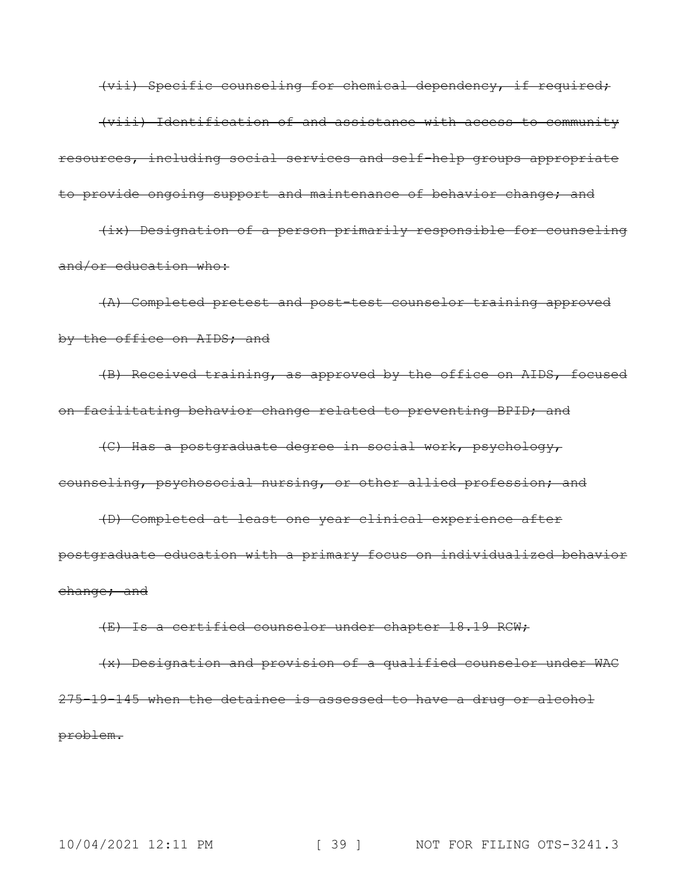(vii) Specific counseling for chemical dependency, if required; (viii) Identification of and assistance with access to community resources, including social services and self-help groups appropriate to provide ongoing support and maintenance of behavior change; and (ix) Designation of a person primarily responsible for counseling

and/or education who:

(A) Completed pretest and post-test counselor training approved by the office on AIDS; and

(B) Received training, as approved by the office on AIDS, focused on facilitating behavior change related to preventing BPID; and

(C) Has a postgraduate degree in social work, psychology, counseling, psychosocial nursing, or other allied profession; and

(D) Completed at least one year clinical experience after postgraduate education with a primary focus on individualized behavior change; and

(E) Is a certified counselor under chapter 18.19 RCW;

(x) Designation and provision of a qualified counselor under WAC 275-19-145 when the detainee is assessed to have a drug or alcohol problem.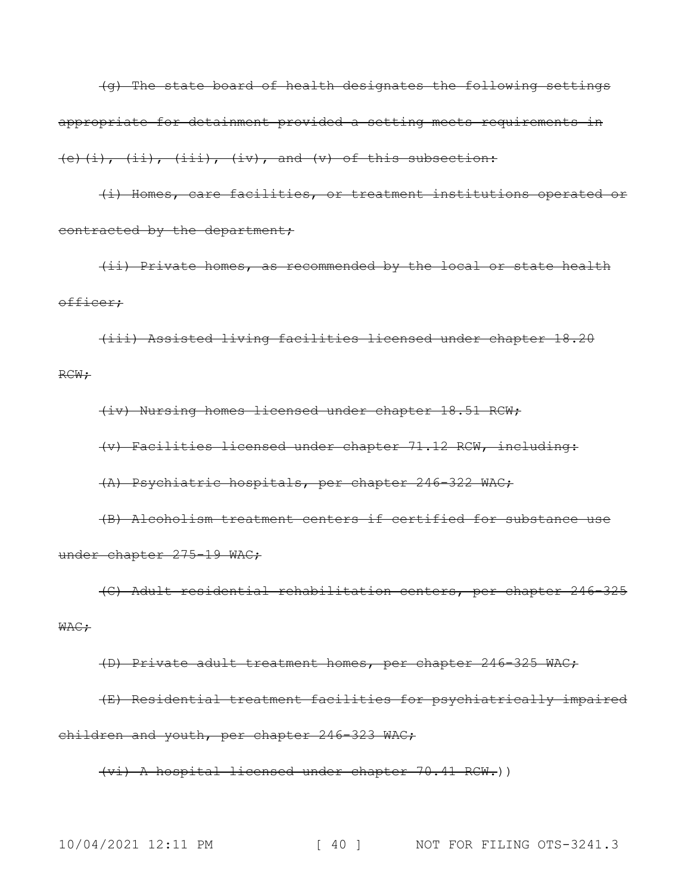(g) The state board of health designates the following settings appropriate for detainment provided a setting meets requirements in  $(+)$ ,  $(i)$ ,  $(iii)$ ,  $(iii)$ ,  $(iv)$ , and  $(v)$  of this subsection:

(i) Homes, care facilities, or treatment institutions operated or contracted by the department;

(ii) Private homes, as recommended by the local or state health officer;

(iii) Assisted living facilities licensed under chapter 18.20 RCW;

(iv) Nursing homes licensed under chapter 18.51 RCW;

(v) Facilities licensed under chapter 71.12 RCW, including:

(A) Psychiatric hospitals, per chapter 246-322 WAC;

(B) Alcoholism treatment centers if certified for substance use under chapter 275-19 WAC;

(C) Adult residential rehabilitation centers, per chapter 246-325 WAC;

(D) Private adult treatment homes, per chapter 246-325 WAC;

(E) Residential treatment facilities for psychiatrically impaired children and youth, per chapter 246-323 WAC;

(vi) A hospital licensed under chapter 70.41 RCW.))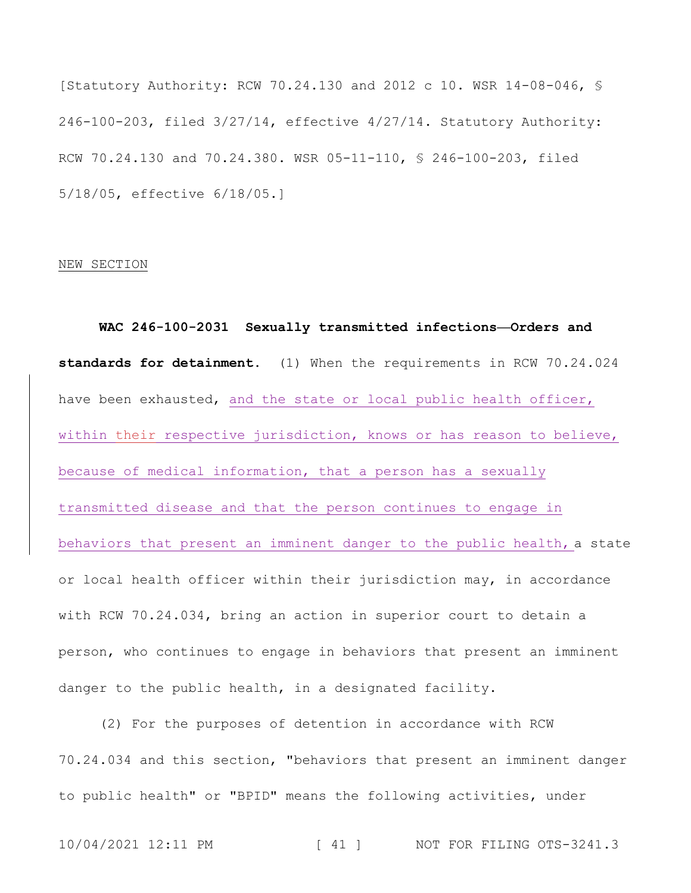[Statutory Authority: RCW 70.24.130 and 2012 c 10. WSR 14-08-046, § 246-100-203, filed 3/27/14, effective 4/27/14. Statutory Authority: RCW 70.24.130 and 70.24.380. WSR 05-11-110, § 246-100-203, filed 5/18/05, effective 6/18/05.]

### NEW SECTION

**WAC 246-100-2031 Sexually transmitted infections—Orders and standards for detainment.** (1) When the requirements in RCW 70.24.024 have been exhausted, and the state or local public health officer, within their respective jurisdiction, knows or has reason to believe, because of medical information, that a person has a sexually transmitted disease and that the person continues to engage in behaviors that present an imminent danger to the public health, a state or local health officer within their jurisdiction may, in accordance with RCW 70.24.034, bring an action in superior court to detain a person, who continues to engage in behaviors that present an imminent danger to the public health, in a designated facility.

(2) For the purposes of detention in accordance with RCW 70.24.034 and this section, "behaviors that present an imminent danger to public health" or "BPID" means the following activities, under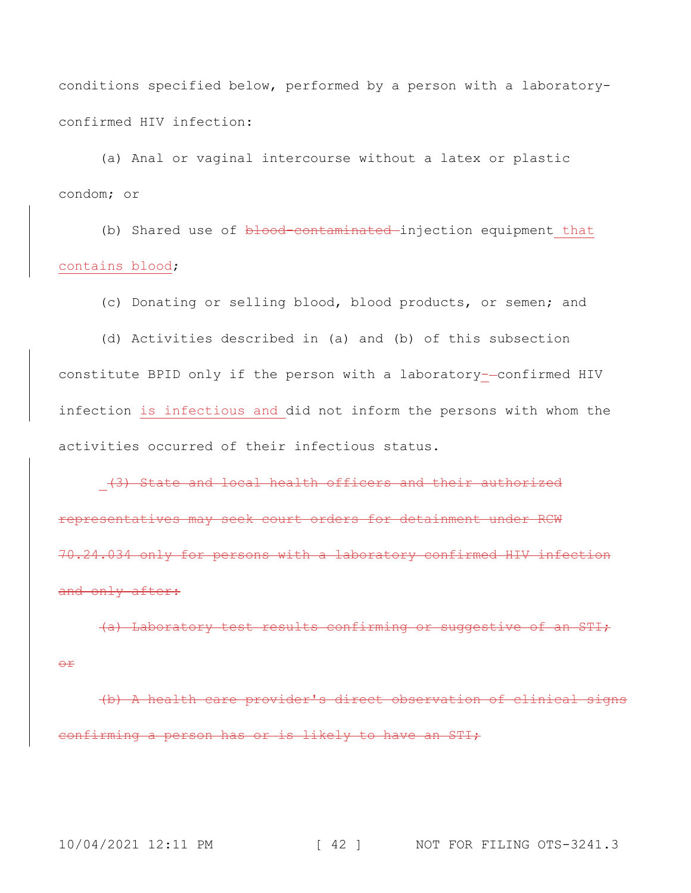conditions specified below, performed by a person with a laboratoryconfirmed HIV infection:

(a) Anal or vaginal intercourse without a latex or plastic condom; or

(b) Shared use of blood-contaminated injection equipment that contains blood;

(c) Donating or selling blood, blood products, or semen; and

(d) Activities described in (a) and (b) of this subsection constitute BPID only if the person with a laboratory--confirmed HIV infection is infectious and did not inform the persons with whom the activities occurred of their infectious status.

(3) State and local health officers and their authorized representatives may seek court orders for detainment under RCW 70.24.034 only for persons with a laboratory confirmed HIV infection and only after:

(a) Laboratory test results confirming or suggestive of an STI; or

(b) A health care provider's direct observation of clinical signs confirming a person has or is likely to have an STI;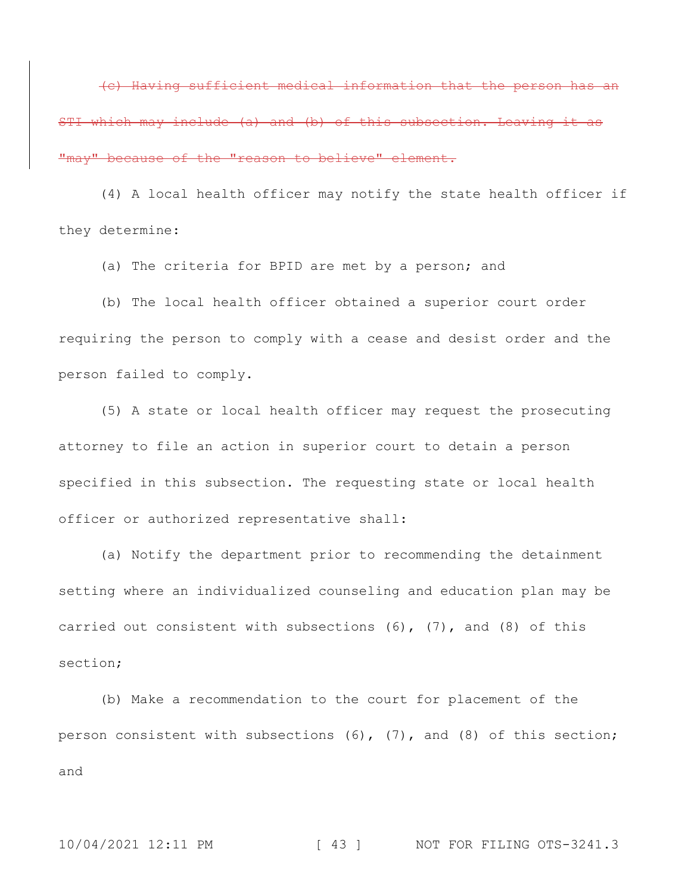(c) Having sufficient medical information that the person has an STI which may include (a) and (b) of this subsection. Leaving it as "may" because of the "reason to believe" element.

(4) A local health officer may notify the state health officer if they determine:

(a) The criteria for BPID are met by a person; and

(b) The local health officer obtained a superior court order requiring the person to comply with a cease and desist order and the person failed to comply.

(5) A state or local health officer may request the prosecuting attorney to file an action in superior court to detain a person specified in this subsection. The requesting state or local health officer or authorized representative shall:

(a) Notify the department prior to recommending the detainment setting where an individualized counseling and education plan may be carried out consistent with subsections  $(6)$ ,  $(7)$ , and  $(8)$  of this section;

(b) Make a recommendation to the court for placement of the person consistent with subsections (6), (7), and (8) of this section; and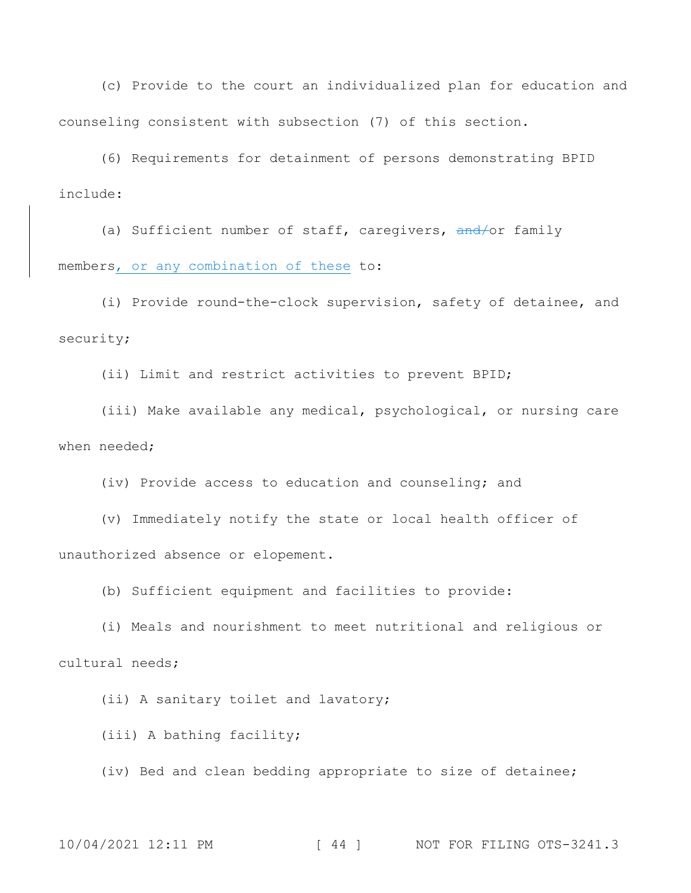(c) Provide to the court an individualized plan for education and counseling consistent with subsection (7) of this section.

(6) Requirements for detainment of persons demonstrating BPID include:

(a) Sufficient number of staff, caregivers, and/or family members, or any combination of these to:

(i) Provide round-the-clock supervision, safety of detainee, and security;

(ii) Limit and restrict activities to prevent BPID;

(iii) Make available any medical, psychological, or nursing care when needed;

(iv) Provide access to education and counseling; and

(v) Immediately notify the state or local health officer of unauthorized absence or elopement.

(b) Sufficient equipment and facilities to provide:

(i) Meals and nourishment to meet nutritional and religious or cultural needs;

(ii) A sanitary toilet and lavatory;

(iii) A bathing facility;

(iv) Bed and clean bedding appropriate to size of detainee;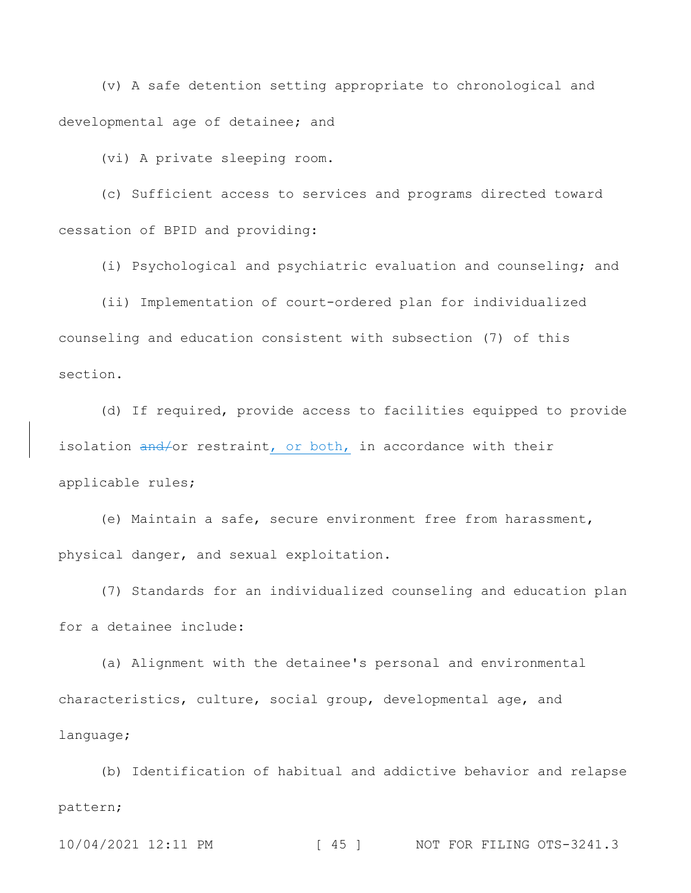(v) A safe detention setting appropriate to chronological and developmental age of detainee; and

(vi) A private sleeping room.

(c) Sufficient access to services and programs directed toward cessation of BPID and providing:

(i) Psychological and psychiatric evaluation and counseling; and

(ii) Implementation of court-ordered plan for individualized counseling and education consistent with subsection (7) of this section.

(d) If required, provide access to facilities equipped to provide isolation and/or restraint, or both, in accordance with their applicable rules;

(e) Maintain a safe, secure environment free from harassment, physical danger, and sexual exploitation.

(7) Standards for an individualized counseling and education plan for a detainee include:

(a) Alignment with the detainee's personal and environmental characteristics, culture, social group, developmental age, and language;

(b) Identification of habitual and addictive behavior and relapse pattern;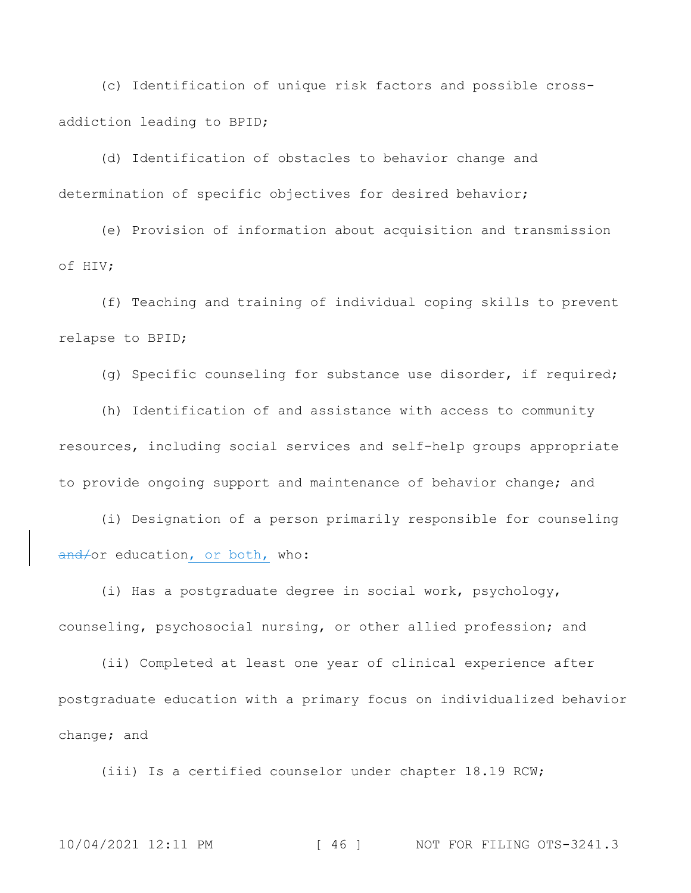(c) Identification of unique risk factors and possible crossaddiction leading to BPID;

(d) Identification of obstacles to behavior change and determination of specific objectives for desired behavior;

(e) Provision of information about acquisition and transmission of HIV;

(f) Teaching and training of individual coping skills to prevent relapse to BPID;

(g) Specific counseling for substance use disorder, if required;

(h) Identification of and assistance with access to community resources, including social services and self-help groups appropriate to provide ongoing support and maintenance of behavior change; and

(i) Designation of a person primarily responsible for counseling and/or education, or both, who:

(i) Has a postgraduate degree in social work, psychology, counseling, psychosocial nursing, or other allied profession; and

(ii) Completed at least one year of clinical experience after postgraduate education with a primary focus on individualized behavior change; and

(iii) Is a certified counselor under chapter 18.19 RCW;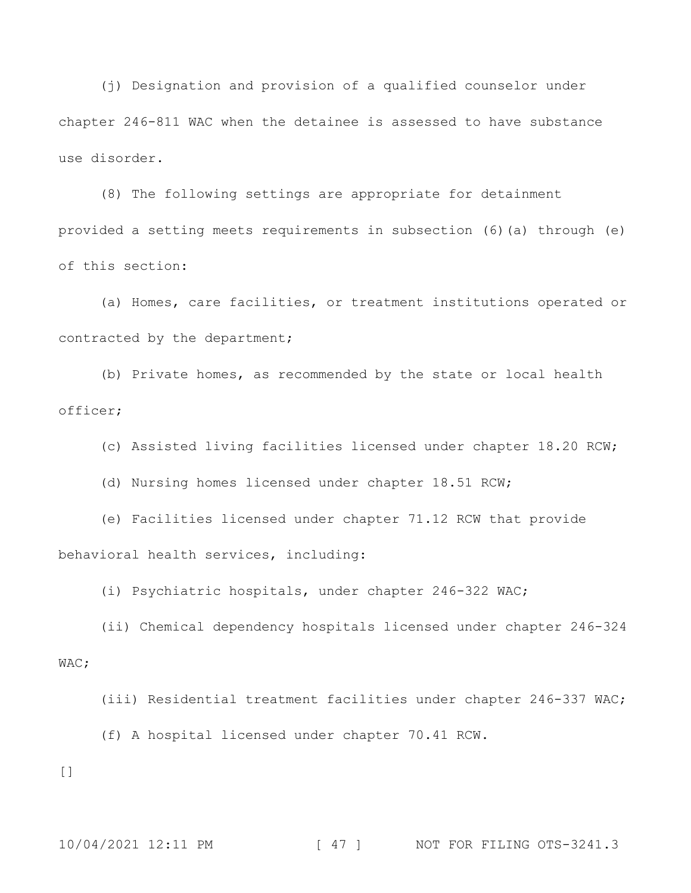(j) Designation and provision of a qualified counselor under chapter 246-811 WAC when the detainee is assessed to have substance use disorder.

(8) The following settings are appropriate for detainment provided a setting meets requirements in subsection (6)(a) through (e) of this section:

(a) Homes, care facilities, or treatment institutions operated or contracted by the department;

(b) Private homes, as recommended by the state or local health officer;

(c) Assisted living facilities licensed under chapter 18.20 RCW;

(d) Nursing homes licensed under chapter 18.51 RCW;

(e) Facilities licensed under chapter 71.12 RCW that provide behavioral health services, including:

(i) Psychiatric hospitals, under chapter 246-322 WAC;

(ii) Chemical dependency hospitals licensed under chapter 246-324 WAC;

(iii) Residential treatment facilities under chapter 246-337 WAC;

(f) A hospital licensed under chapter 70.41 RCW.

 $[$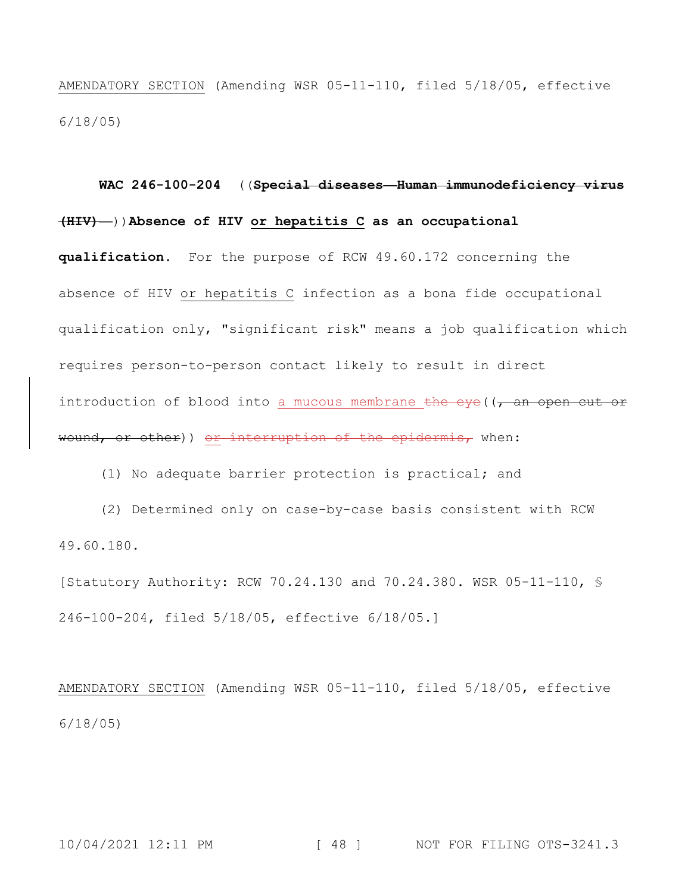AMENDATORY SECTION (Amending WSR 05-11-110, filed 5/18/05, effective 6/18/05)

**WAC 246-100-204** ((**Special diseases—Human immunodeficiency virus (HIV)—**))**Absence of HIV or hepatitis C as an occupational qualification.** For the purpose of RCW 49.60.172 concerning the absence of HIV or hepatitis C infection as a bona fide occupational qualification only, "significant risk" means a job qualification which requires person-to-person contact likely to result in direct introduction of blood into a mucous membrane the eye ( $\sqrt{a}$  an open cut or wound, or other)) or interruption of the epidermis, when:

(1) No adequate barrier protection is practical; and

(2) Determined only on case-by-case basis consistent with RCW 49.60.180.

[Statutory Authority: RCW 70.24.130 and 70.24.380. WSR 05-11-110, § 246-100-204, filed 5/18/05, effective 6/18/05.]

AMENDATORY SECTION (Amending WSR 05-11-110, filed 5/18/05, effective 6/18/05)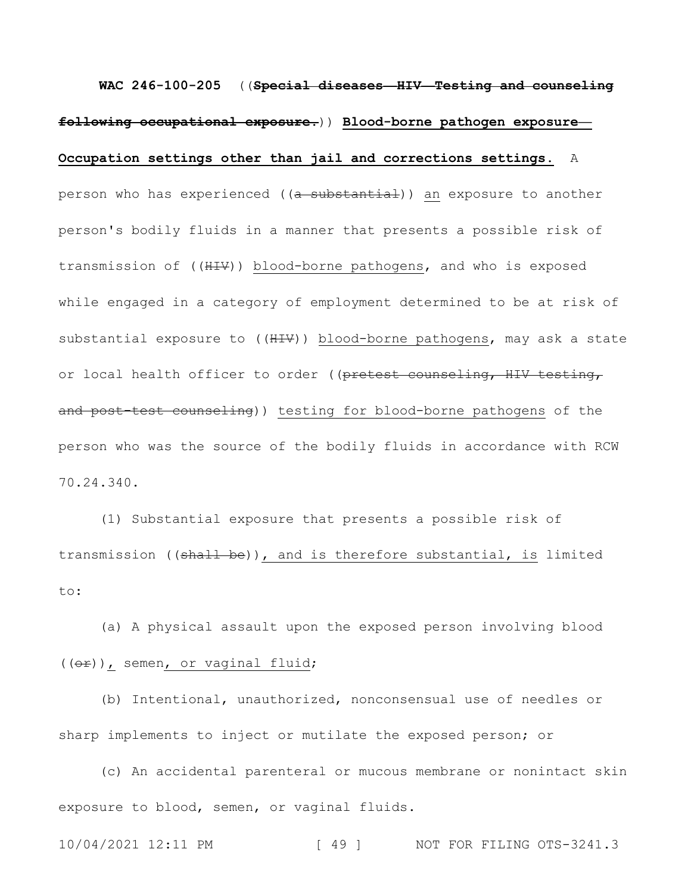**WAC 246-100-205** ((**Special diseases—HIV—Testing and counseling following occupational exposure.**)) **Blood-borne pathogen exposure— Occupation settings other than jail and corrections settings.** A

person who has experienced ((a substantial)) an exposure to another person's bodily fluids in a manner that presents a possible risk of transmission of ((HIV)) blood-borne pathogens, and who is exposed while engaged in a category of employment determined to be at risk of substantial exposure to ((HIV)) blood-borne pathogens, may ask a state or local health officer to order ((pretest counseling, HIV testing, and post-test counseling)) testing for blood-borne pathogens of the person who was the source of the bodily fluids in accordance with RCW 70.24.340.

(1) Substantial exposure that presents a possible risk of transmission ((shall be)), and is therefore substantial, is limited to:

(a) A physical assault upon the exposed person involving blood ((or)), semen, or vaginal fluid;

(b) Intentional, unauthorized, nonconsensual use of needles or sharp implements to inject or mutilate the exposed person; or

(c) An accidental parenteral or mucous membrane or nonintact skin exposure to blood, semen, or vaginal fluids.

10/04/2021 12:11 PM [ 49 ] NOT FOR FILING OTS-3241.3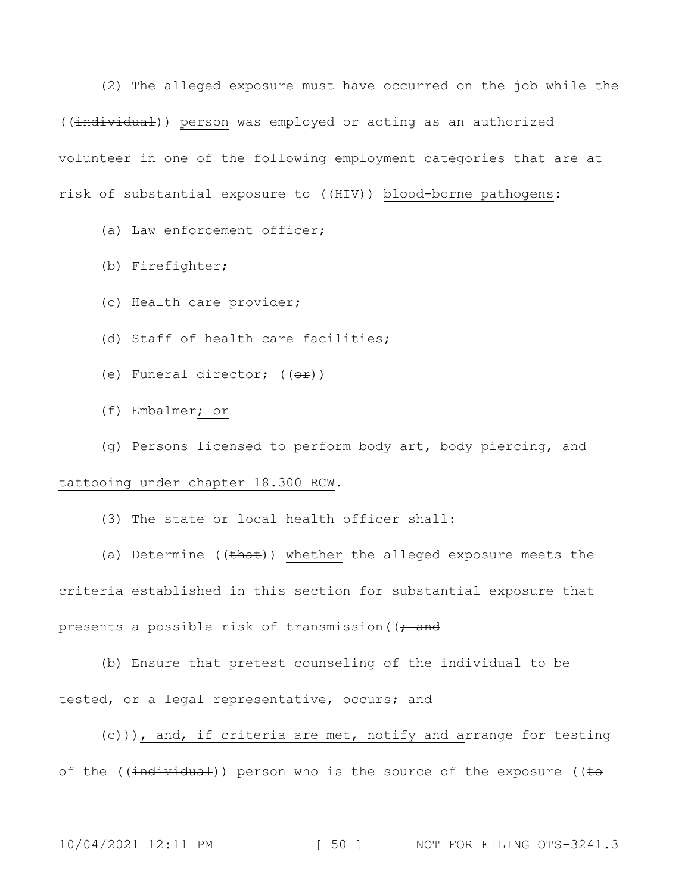(2) The alleged exposure must have occurred on the job while the ((individual)) person was employed or acting as an authorized volunteer in one of the following employment categories that are at risk of substantial exposure to ((HIV)) blood-borne pathogens:

(a) Law enforcement officer;

- (b) Firefighter;
- (c) Health care provider;
- (d) Staff of health care facilities;
- (e) Funeral director;  $((e^{\frac{1}{x}}))^2$
- (f) Embalmer; or

## (g) Persons licensed to perform body art, body piercing, and

### tattooing under chapter 18.300 RCW.

(3) The state or local health officer shall:

(a) Determine  $((\text{that}))$  whether the alleged exposure meets the criteria established in this section for substantial exposure that presents a possible risk of transmission ( $\rightarrow$  and

## (b) Ensure that pretest counseling of the individual to be tested, or a legal representative, occurs; and

 $\left(\frac{c}{c}\right)$ ), and, if criteria are met, notify and arrange for testing of the (( $\frac{1}{1}ndividual$ )) person who is the source of the exposure (( $\pm\Theta$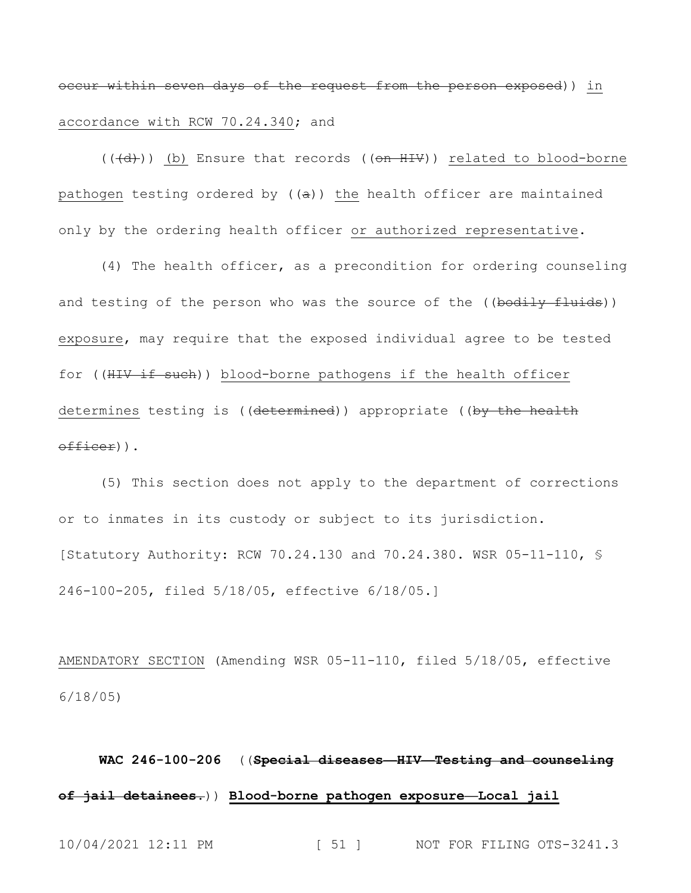occur within seven days of the request from the person exposed)) in accordance with RCW 70.24.340; and

 $((+d))$  (b) Ensure that records (( $\theta$ n HIV)) related to blood-borne pathogen testing ordered by  $((a))$  the health officer are maintained only by the ordering health officer or authorized representative.

(4) The health officer, as a precondition for ordering counseling and testing of the person who was the source of the ((bodily fluids)) exposure, may require that the exposed individual agree to be tested for ((HIV if such)) blood-borne pathogens if the health officer determines testing is ((determined)) appropriate ((by the health officer)).

(5) This section does not apply to the department of corrections or to inmates in its custody or subject to its jurisdiction. [Statutory Authority: RCW 70.24.130 and 70.24.380. WSR 05-11-110, § 246-100-205, filed 5/18/05, effective 6/18/05.]

AMENDATORY SECTION (Amending WSR 05-11-110, filed 5/18/05, effective 6/18/05)

## **WAC 246-100-206** ((**Special diseases—HIV—Testing and counseling of jail detainees.**)) **Blood-borne pathogen exposure—Local jail**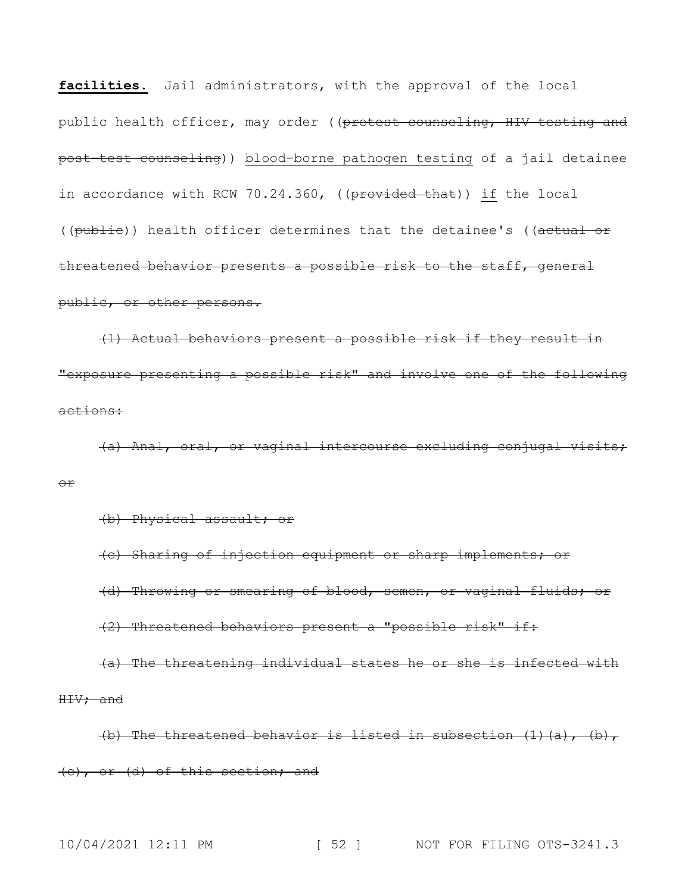**facilities.** Jail administrators, with the approval of the local public health officer, may order ((pretest counseling, HIV testing and post-test counseling)) blood-borne pathogen testing of a jail detainee in accordance with RCW 70.24.360, ((provided that)) if the local ((publie)) health officer determines that the detainee's ((actual or threatened behavior presents a possible risk to the staff, general public, or other persons.

(1) Actual behaviors present a possible risk if they result in "exposure presenting a possible risk" and involve one of the following actions:

(a) Anal, oral, or vaginal intercourse excluding conjugal visits; or

(b) Physical assault; or

(c) Sharing of injection equipment or sharp implements; or (d) Throwing or smearing of blood, semen, or vaginal fluids; or (2) Threatened behaviors present a "possible risk" if:

(a) The threatening individual states he or she is infected with HIV; and

(b) The threatened behavior is listed in subsection  $(1)$   $(a)$ ,  $(b)$ , (c), or (d) of this section; and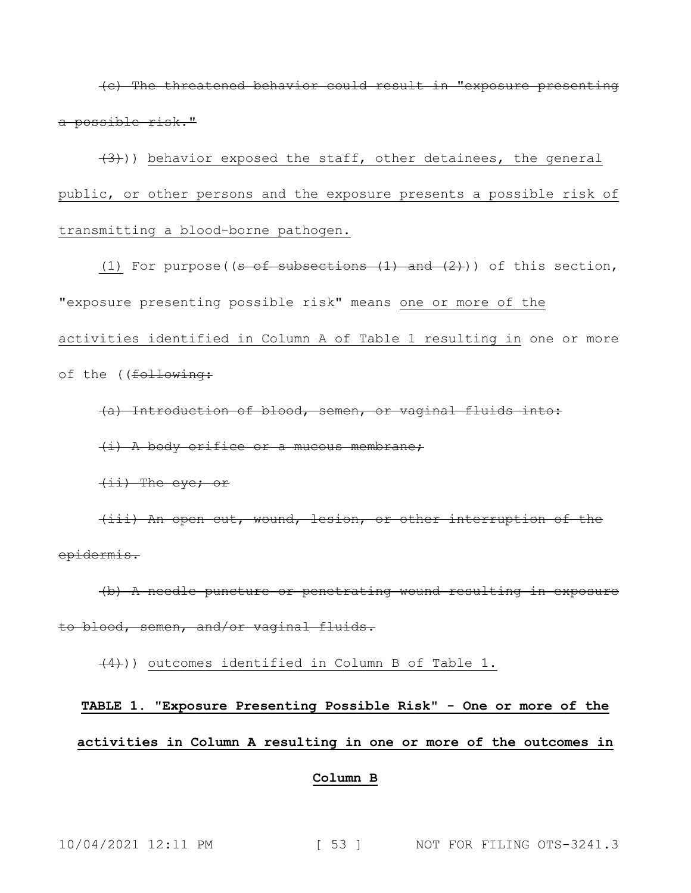(c) The threatened behavior could result in "exposure presenting a possible risk."

 $(3)$ )) behavior exposed the staff, other detainees, the general public, or other persons and the exposure presents a possible risk of transmitting a blood-borne pathogen.

(1) For purpose(( $s$  of subsections  $(1)$  and  $(2)$ )) of this section, "exposure presenting possible risk" means one or more of the activities identified in Column A of Table 1 resulting in one or more of the ((following:

(a) Introduction of blood, semen, or vaginal fluids into:

(i) A body orifice or a mucous membrane;

(ii) The eye; or

(iii) An open cut, wound, lesion, or other interruption of the epidermis.

(b) A needle puncture or penetrating wound resulting in exposure to blood, semen, and/or vaginal fluids.

 $(4)$ )) outcomes identified in Column B of Table 1.

# **TABLE 1. "Exposure Presenting Possible Risk" - One or more of the activities in Column A resulting in one or more of the outcomes in**

### **Column B**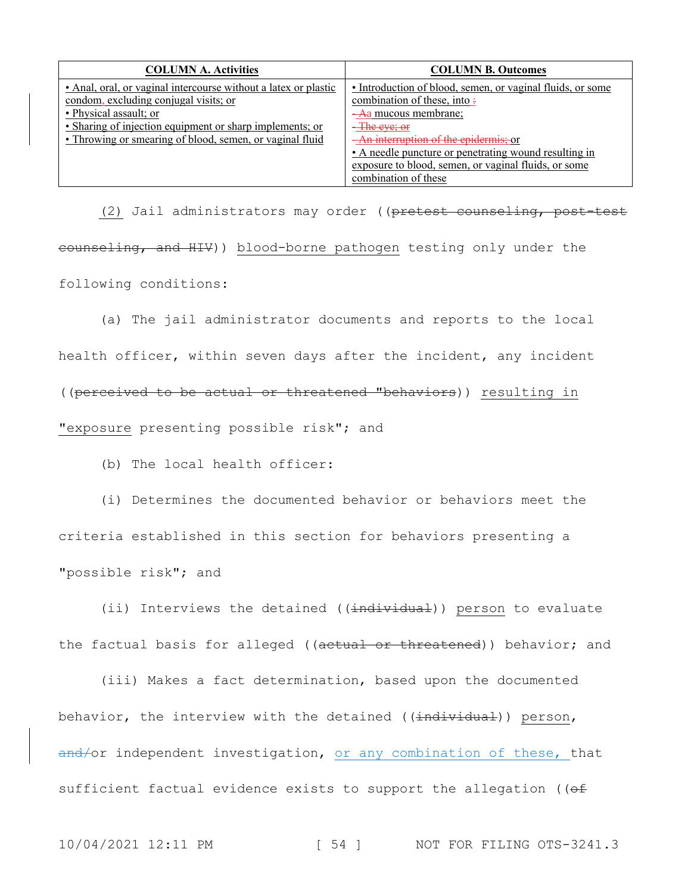| <b>COLUMN A. Activities</b>                                     | <b>COLUMN B. Outcomes</b>                                  |
|-----------------------------------------------------------------|------------------------------------------------------------|
| • Anal, oral, or vaginal intercourse without a latex or plastic | • Introduction of blood, semen, or vaginal fluids, or some |
| condom, excluding conjugal visits; or                           | combination of these, into:                                |
| • Physical assault; or                                          | <del>- A</del> a mucous membrane;                          |
| • Sharing of injection equipment or sharp implements; or        | <del>The eye; or</del>                                     |
| • Throwing or smearing of blood, semen, or vaginal fluid        | An interruption of the epidermis; or                       |
|                                                                 | • A needle puncture or penetrating wound resulting in      |
|                                                                 | exposure to blood, semen, or vaginal fluids, or some       |
|                                                                 | combination of these                                       |

(2) Jail administrators may order ((pretest counseling, post-test counseling, and HIV)) blood-borne pathogen testing only under the following conditions:

(a) The jail administrator documents and reports to the local health officer, within seven days after the incident, any incident

((perceived to be actual or threatened "behaviors)) resulting in

"exposure presenting possible risk"; and

(b) The local health officer:

(i) Determines the documented behavior or behaviors meet the criteria established in this section for behaviors presenting a "possible risk"; and

(ii) Interviews the detained ((individual)) person to evaluate the factual basis for alleged ((actual or threatened)) behavior; and

(iii) Makes a fact determination, based upon the documented behavior, the interview with the detained ((individual)) person, and/or independent investigation, or any combination of these, that sufficient factual evidence exists to support the allegation ( $(ef)$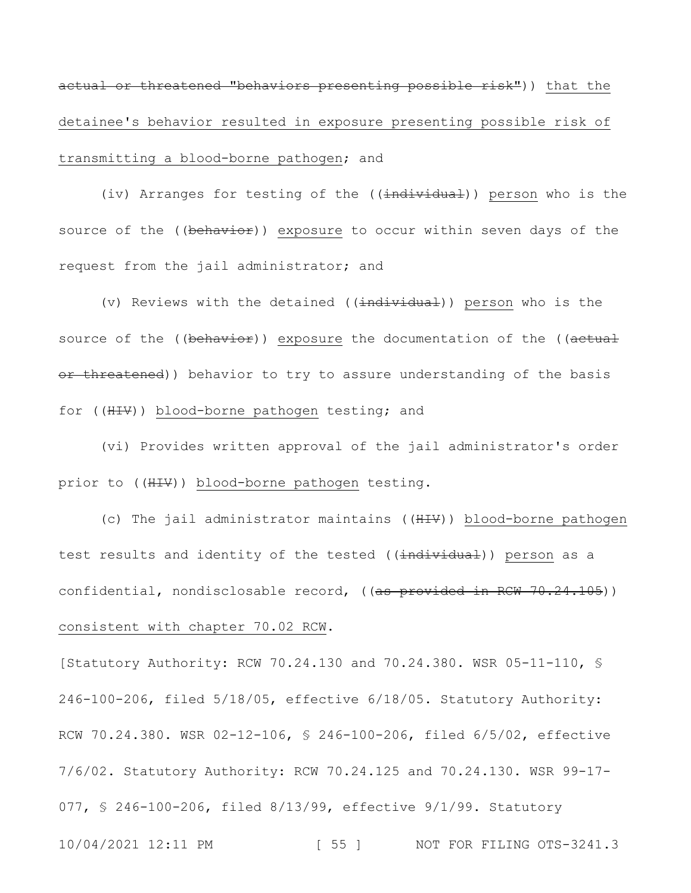actual or threatened "behaviors presenting possible risk")) that the detainee's behavior resulted in exposure presenting possible risk of transmitting a blood-borne pathogen; and

(iv) Arranges for testing of the ((individual)) person who is the source of the ((behavior)) exposure to occur within seven days of the request from the jail administrator; and

(v) Reviews with the detained  $((\frac{1}{1}nd\frac{1}{1}wd\frac{1}{1}))$  person who is the source of the ((behavior)) exposure the documentation of the ((actual or threatened)) behavior to try to assure understanding of the basis for ((HIV)) blood-borne pathogen testing; and

(vi) Provides written approval of the jail administrator's order prior to ((HIV)) blood-borne pathogen testing.

(c) The jail administrator maintains ((HIV)) blood-borne pathogen test results and identity of the tested ((individual)) person as a confidential, nondisclosable record, ((<del>as provided in RCW 70.24.105</del>)) consistent with chapter 70.02 RCW.

10/04/2021 12:11 PM [ 55 ] NOT FOR FILING OTS-3241.3 [Statutory Authority: RCW 70.24.130 and 70.24.380. WSR 05-11-110, § 246-100-206, filed 5/18/05, effective 6/18/05. Statutory Authority: RCW 70.24.380. WSR 02-12-106, § 246-100-206, filed 6/5/02, effective 7/6/02. Statutory Authority: RCW 70.24.125 and 70.24.130. WSR 99-17- 077, § 246-100-206, filed 8/13/99, effective 9/1/99. Statutory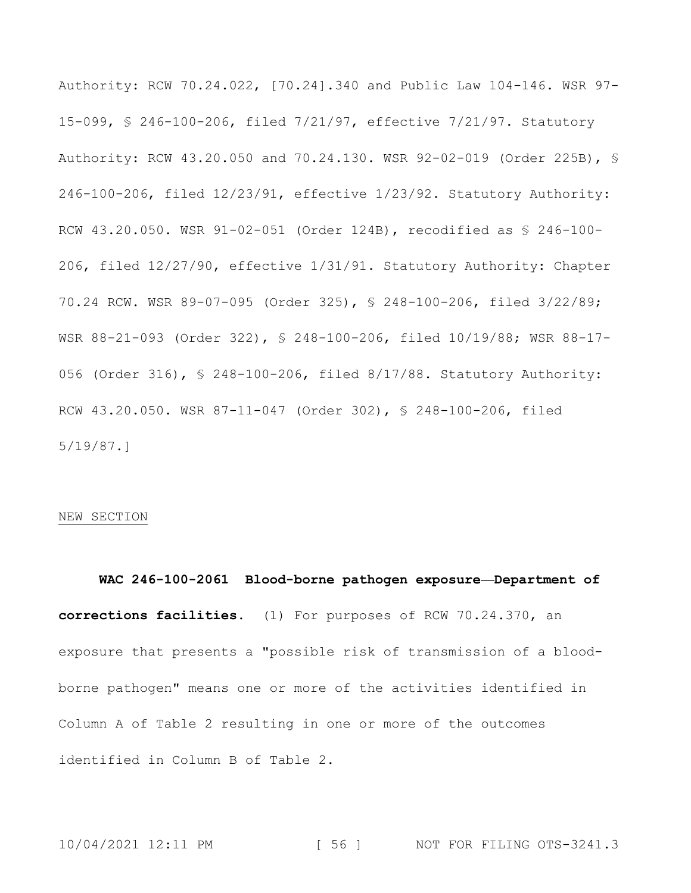Authority: RCW 70.24.022, [70.24].340 and Public Law 104-146. WSR 97- 15-099, § 246-100-206, filed 7/21/97, effective 7/21/97. Statutory Authority: RCW 43.20.050 and 70.24.130. WSR 92-02-019 (Order 225B), § 246-100-206, filed 12/23/91, effective 1/23/92. Statutory Authority: RCW 43.20.050. WSR 91-02-051 (Order 124B), recodified as § 246-100- 206, filed 12/27/90, effective 1/31/91. Statutory Authority: Chapter 70.24 RCW. WSR 89-07-095 (Order 325), § 248-100-206, filed 3/22/89; WSR 88-21-093 (Order 322), § 248-100-206, filed 10/19/88; WSR 88-17- 056 (Order 316), § 248-100-206, filed 8/17/88. Statutory Authority: RCW 43.20.050. WSR 87-11-047 (Order 302), § 248-100-206, filed 5/19/87.]

### NEW SECTION

**WAC 246-100-2061 Blood-borne pathogen exposure—Department of corrections facilities.** (1) For purposes of RCW 70.24.370, an exposure that presents a "possible risk of transmission of a bloodborne pathogen" means one or more of the activities identified in Column A of Table 2 resulting in one or more of the outcomes identified in Column B of Table 2.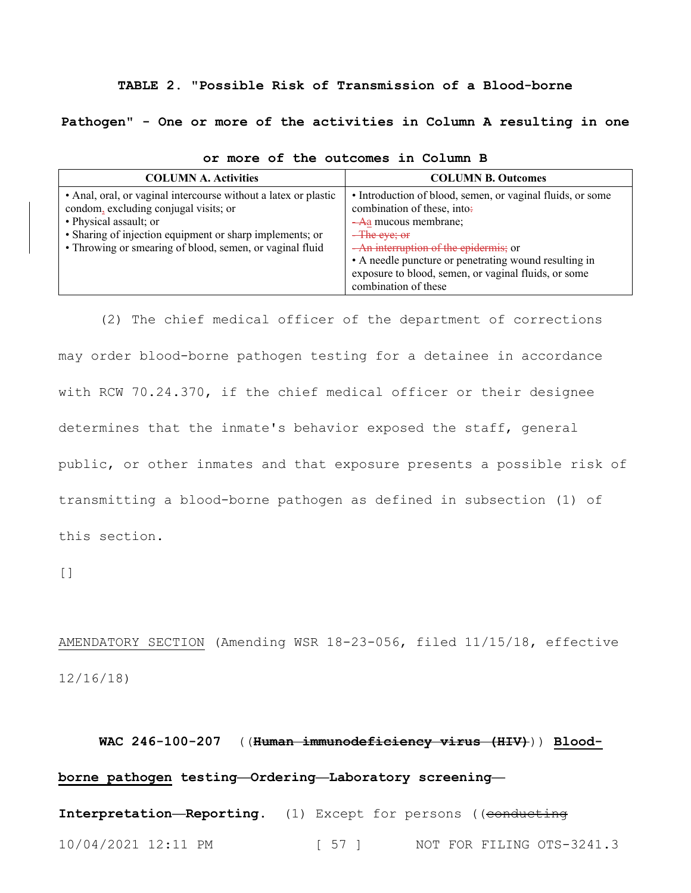### **TABLE 2. "Possible Risk of Transmission of a Blood-borne**

**Pathogen" - One or more of the activities in Column A resulting in one** 

| <b>COLUMN A. Activities</b>                                                                                                                                                                                                                                | <b>COLUMN B. Outcomes</b>                                                                                                                                                                                                                                                                                                    |
|------------------------------------------------------------------------------------------------------------------------------------------------------------------------------------------------------------------------------------------------------------|------------------------------------------------------------------------------------------------------------------------------------------------------------------------------------------------------------------------------------------------------------------------------------------------------------------------------|
| • Anal, oral, or vaginal intercourse without a latex or plastic<br>condom, excluding conjugal visits; or<br>• Physical assault; or<br>• Sharing of injection equipment or sharp implements; or<br>• Throwing or smearing of blood, semen, or vaginal fluid | • Introduction of blood, semen, or vaginal fluids, or some<br>combination of these, into:<br>-Aa mucous membrane;<br>$-\text{The eye};$ or<br>-An interruption of the epidermis; or<br>• A needle puncture or penetrating wound resulting in<br>exposure to blood, semen, or vaginal fluids, or some<br>combination of these |

| or more of the outcomes in Column B |  |
|-------------------------------------|--|
|-------------------------------------|--|

(2) The chief medical officer of the department of corrections may order blood-borne pathogen testing for a detainee in accordance with RCW 70.24.370, if the chief medical officer or their designee determines that the inmate's behavior exposed the staff, general public, or other inmates and that exposure presents a possible risk of transmitting a blood-borne pathogen as defined in subsection (1) of this section.

 $[$ ]

AMENDATORY SECTION (Amending WSR 18-23-056, filed 11/15/18, effective 12/16/18)

## **WAC 246-100-207** ((**Human immunodeficiency virus (HIV)**)) **Bloodborne pathogen testing—Ordering—Laboratory screening—**

10/04/2021 12:11 PM [ 57 ] NOT FOR FILING OTS-3241.3 Interpretation-Reporting. (1) Except for persons ((conducting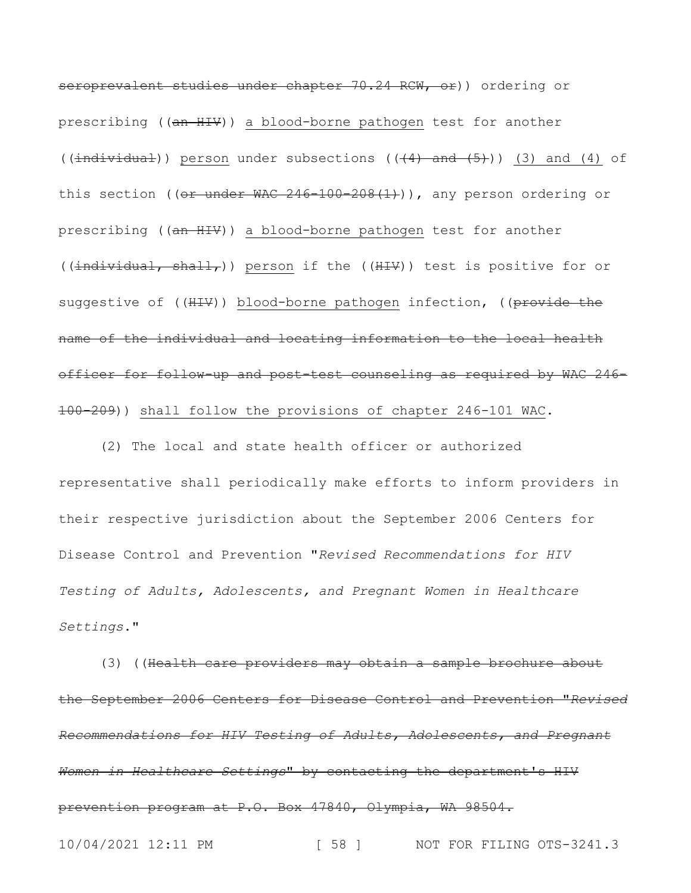seroprevalent studies under chapter 70.24 RCW, or)) ordering or prescribing ((an HIV)) a blood-borne pathogen test for another (( $\frac{1}{1}$ ndividual)) person under subsections (( $\frac{4}{1}$  and  $\frac{5}{1}$ )) (3) and (4) of this section (( $or$  under WAC 246-100-208(1))), any person ordering or prescribing ((an HIV)) a blood-borne pathogen test for another (( $indivial$ , shall,)) person if the (( $HIV$ )) test is positive for or suggestive of ((HIV)) blood-borne pathogen infection, ((provide the name of the individual and locating information to the local health officer for follow-up and post-test counseling as required by WAC 246- 100-209)) shall follow the provisions of chapter 246-101 WAC.

(2) The local and state health officer or authorized representative shall periodically make efforts to inform providers in their respective jurisdiction about the September 2006 Centers for Disease Control and Prevention "*Revised Recommendations for HIV Testing of Adults, Adolescents, and Pregnant Women in Healthcare Settings*."

(3) ((Health care providers may obtain a sample brochure about the September 2006 Centers for Disease Control and Prevention "*Revised Recommendations for HIV Testing of Adults, Adolescents, and Pregnant Women in Healthcare Settings*" by contacting the department's HIV prevention program at P.O. Box 47840, Olympia, WA 98504.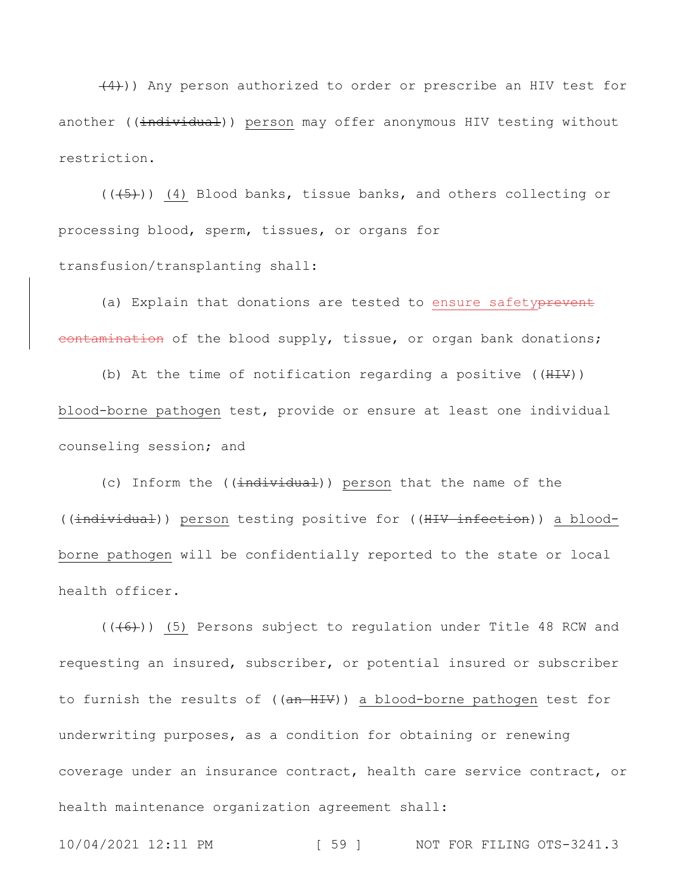$(4)$ )) Any person authorized to order or prescribe an HIV test for another ((individual)) person may offer anonymous HIV testing without restriction.

 $((\overline{5}))$  (4) Blood banks, tissue banks, and others collecting or processing blood, sperm, tissues, or organs for transfusion/transplanting shall:

(a) Explain that donations are tested to ensure safetyprevent eontamination of the blood supply, tissue, or organ bank donations;

(b) At the time of notification regarding a positive  $((\text{HHV})$ ) blood-borne pathogen test, provide or ensure at least one individual counseling session; and

(c) Inform the ((individual)) person that the name of the ((individual)) person testing positive for ((HIV infection)) a bloodborne pathogen will be confidentially reported to the state or local health officer.

 $((\overline{6}))$  (5) Persons subject to regulation under Title 48 RCW and requesting an insured, subscriber, or potential insured or subscriber to furnish the results of ((an HIV)) a blood-borne pathogen test for underwriting purposes, as a condition for obtaining or renewing coverage under an insurance contract, health care service contract, or health maintenance organization agreement shall:

10/04/2021 12:11 PM [ 59 ] NOT FOR FILING OTS-3241.3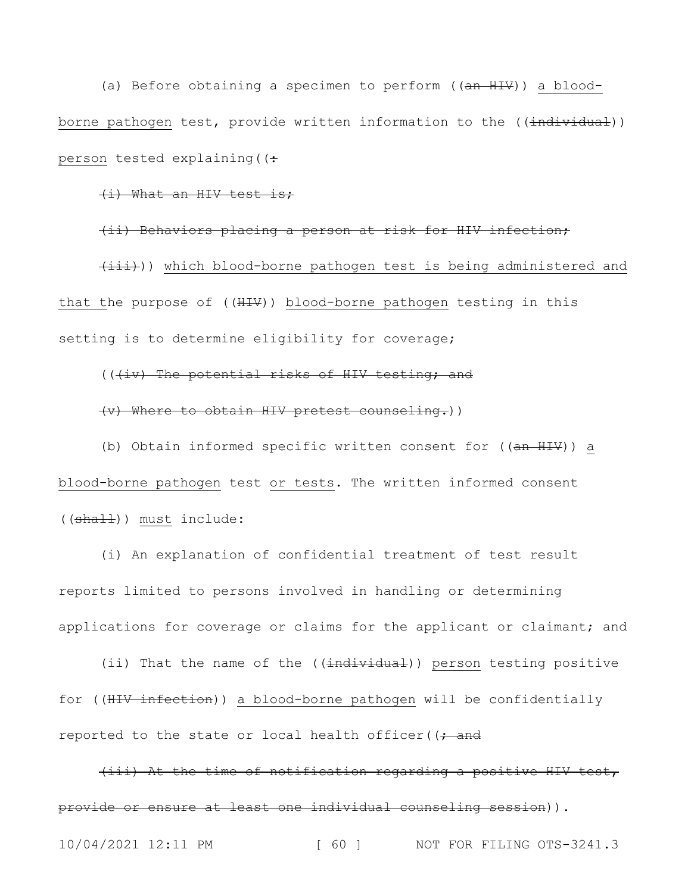(a) Before obtaining a specimen to perform ((an HIV)) a bloodborne pathogen test, provide written information to the ((individual)) person tested explaining  $($   $($   $\div$ 

### (i) What an HIV test is;

(ii) Behaviors placing a person at risk for HIV infection;  $(\pm \pm \pm \pm)$ ) which blood-borne pathogen test is being administered and that the purpose of ((HIV)) blood-borne pathogen testing in this setting is to determine eligibility for coverage;

### (((iv) The potential risks of HIV testing; and

### (v) Where to obtain HIV pretest counseling.))

(b) Obtain informed specific written consent for  $((\frac{an H I}{v})^2)$  a blood-borne pathogen test or tests. The written informed consent ((shall)) must include:

(i) An explanation of confidential treatment of test result reports limited to persons involved in handling or determining applications for coverage or claims for the applicant or claimant; and

(ii) That the name of the ((individual)) person testing positive for ((HIV infection)) a blood-borne pathogen will be confidentially reported to the state or local health officer( $($ ; and

(iii) At the time of notification regarding a positive HIV test, provide or ensure at least one individual counseling session)).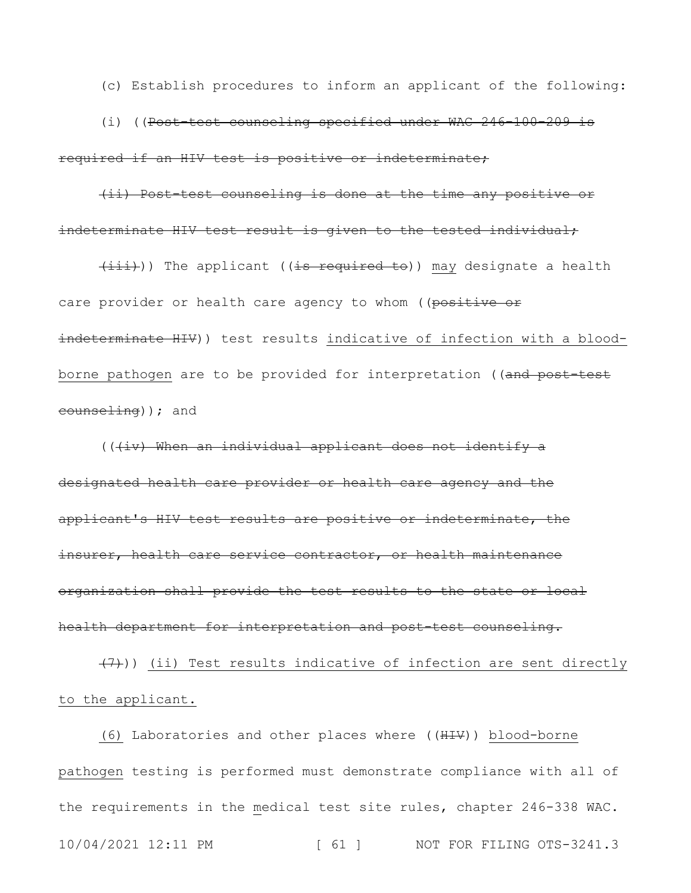(c) Establish procedures to inform an applicant of the following:

(i) ((Post-test counseling specified under WAC 246-100-209 is required if an HIV test is positive or indeterminate;

(ii) Post-test counseling is done at the time any positive or indeterminate HIV test result is given to the tested individual;

 $(i$ iii))) The applicant ((is required to)) may designate a health care provider or health care agency to whom ((positive or indeterminate HIV)) test results indicative of infection with a bloodborne pathogen are to be provided for interpretation ((and post-test counseling)); and

(((iv) When an individual applicant does not identify a designated health care provider or health care agency and the applicant's HIV test results are positive or indeterminate, the insurer, health care service contractor, or health maintenance organization shall provide the test results to the state or local health department for interpretation and post-test counseling.

 $(7)$ )) (ii) Test results indicative of infection are sent directly to the applicant.

10/04/2021 12:11 PM [ 61 ] NOT FOR FILING OTS-3241.3 (6) Laboratories and other places where ((HIV)) blood-borne pathogen testing is performed must demonstrate compliance with all of the requirements in the medical test site rules, chapter 246-338 WAC.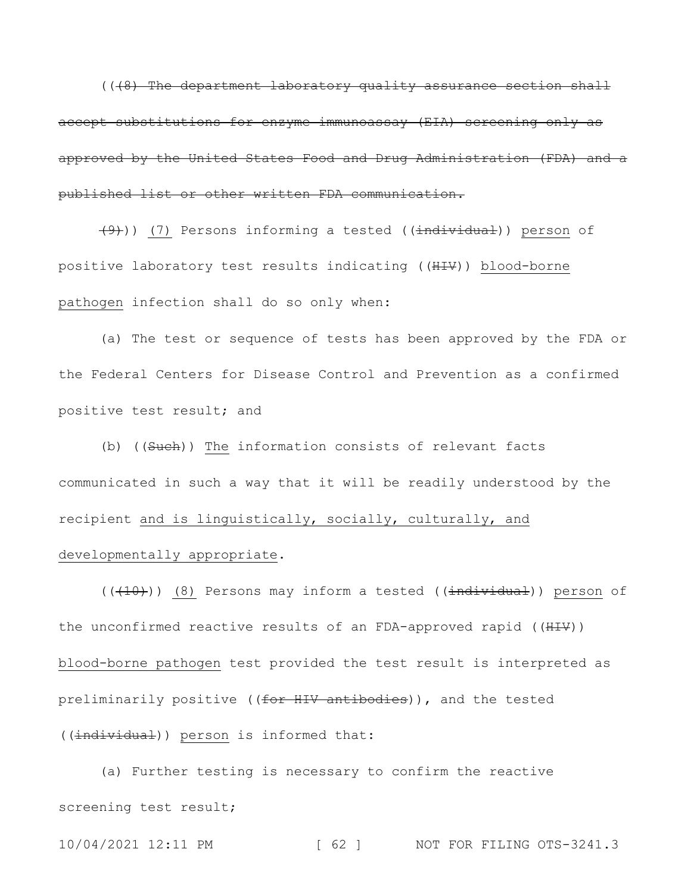((48) The department laboratory quality assurance section shall accept substitutions for enzyme immunoassay (EIA) screening only as approved by the United States Food and Drug Administration (FDA) and a published list or other written FDA communication.

 $(9)$ )) (7) Persons informing a tested (( $\frac{1}{1}$ ndividual)) person of positive laboratory test results indicating ((HIV)) blood-borne pathogen infection shall do so only when:

(a) The test or sequence of tests has been approved by the FDA or the Federal Centers for Disease Control and Prevention as a confirmed positive test result; and

(b) ((Such)) The information consists of relevant facts communicated in such a way that it will be readily understood by the recipient and is linguistically, socially, culturally, and developmentally appropriate.

((<del>(10)</del>)) (8) Persons may inform a tested ((<del>individual</del>)) person of the unconfirmed reactive results of an FDA-approved rapid ((HIV)) blood-borne pathogen test provided the test result is interpreted as preliminarily positive ((for HIV antibodies)), and the tested ((individual)) person is informed that:

(a) Further testing is necessary to confirm the reactive screening test result;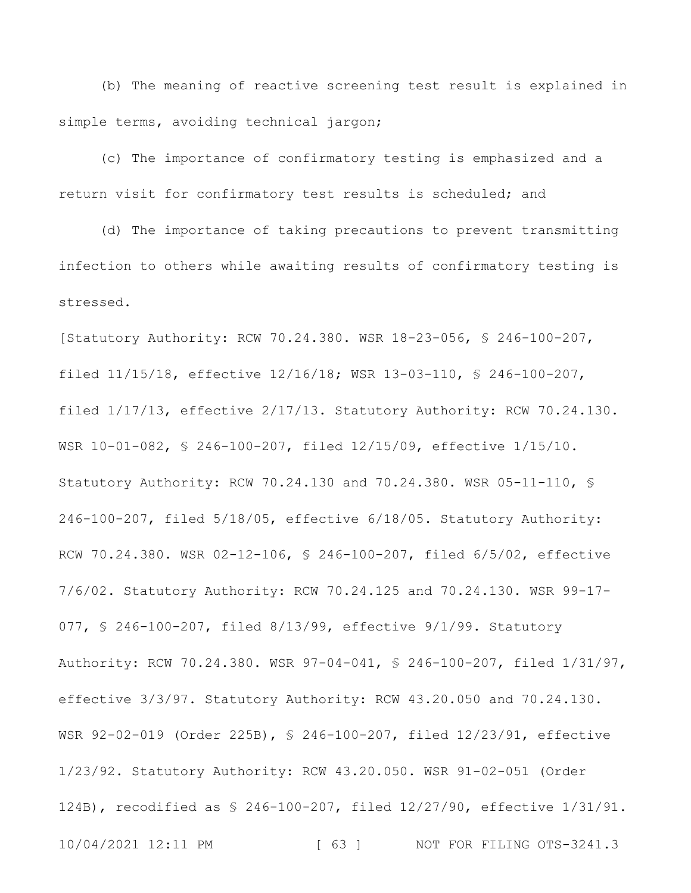(b) The meaning of reactive screening test result is explained in simple terms, avoiding technical jargon;

(c) The importance of confirmatory testing is emphasized and a return visit for confirmatory test results is scheduled; and

(d) The importance of taking precautions to prevent transmitting infection to others while awaiting results of confirmatory testing is stressed.

10/04/2021 12:11 PM [ 63 ] NOT FOR FILING OTS-3241.3 [Statutory Authority: RCW 70.24.380. WSR 18-23-056, § 246-100-207, filed 11/15/18, effective 12/16/18; WSR 13-03-110, § 246-100-207, filed 1/17/13, effective 2/17/13. Statutory Authority: RCW 70.24.130. WSR 10-01-082, § 246-100-207, filed 12/15/09, effective 1/15/10. Statutory Authority: RCW 70.24.130 and 70.24.380. WSR 05-11-110, § 246-100-207, filed 5/18/05, effective 6/18/05. Statutory Authority: RCW 70.24.380. WSR 02-12-106, § 246-100-207, filed 6/5/02, effective 7/6/02. Statutory Authority: RCW 70.24.125 and 70.24.130. WSR 99-17- 077, § 246-100-207, filed 8/13/99, effective 9/1/99. Statutory Authority: RCW 70.24.380. WSR 97-04-041, § 246-100-207, filed 1/31/97, effective 3/3/97. Statutory Authority: RCW 43.20.050 and 70.24.130. WSR 92-02-019 (Order 225B), § 246-100-207, filed 12/23/91, effective 1/23/92. Statutory Authority: RCW 43.20.050. WSR 91-02-051 (Order 124B), recodified as § 246-100-207, filed 12/27/90, effective 1/31/91.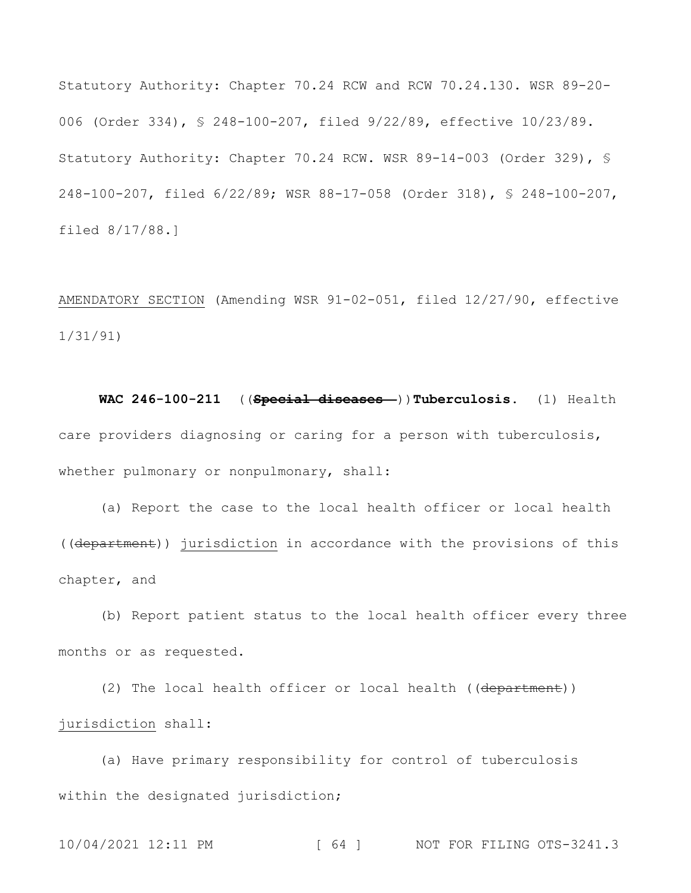Statutory Authority: Chapter 70.24 RCW and RCW 70.24.130. WSR 89-20- 006 (Order 334), § 248-100-207, filed 9/22/89, effective 10/23/89. Statutory Authority: Chapter 70.24 RCW. WSR 89-14-003 (Order 329), § 248-100-207, filed 6/22/89; WSR 88-17-058 (Order 318), § 248-100-207, filed 8/17/88.]

AMENDATORY SECTION (Amending WSR 91-02-051, filed 12/27/90, effective 1/31/91)

**WAC 246-100-211** ((**Special diseases—**))**Tuberculosis.** (1) Health care providers diagnosing or caring for a person with tuberculosis, whether pulmonary or nonpulmonary, shall:

(a) Report the case to the local health officer or local health ((department)) jurisdiction in accordance with the provisions of this chapter, and

(b) Report patient status to the local health officer every three months or as requested.

(2) The local health officer or local health ((department)) jurisdiction shall:

(a) Have primary responsibility for control of tuberculosis within the designated jurisdiction;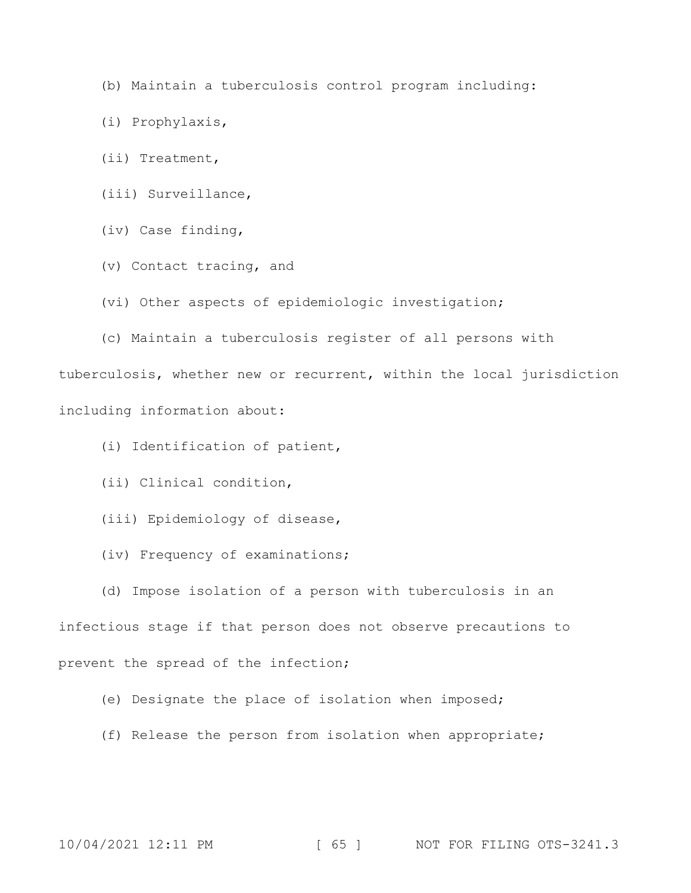(b) Maintain a tuberculosis control program including:

(i) Prophylaxis,

(ii) Treatment,

(iii) Surveillance,

(iv) Case finding,

(v) Contact tracing, and

(vi) Other aspects of epidemiologic investigation;

(c) Maintain a tuberculosis register of all persons with tuberculosis, whether new or recurrent, within the local jurisdiction

including information about:

(i) Identification of patient,

(ii) Clinical condition,

(iii) Epidemiology of disease,

(iv) Frequency of examinations;

(d) Impose isolation of a person with tuberculosis in an

infectious stage if that person does not observe precautions to

prevent the spread of the infection;

(e) Designate the place of isolation when imposed;

(f) Release the person from isolation when appropriate;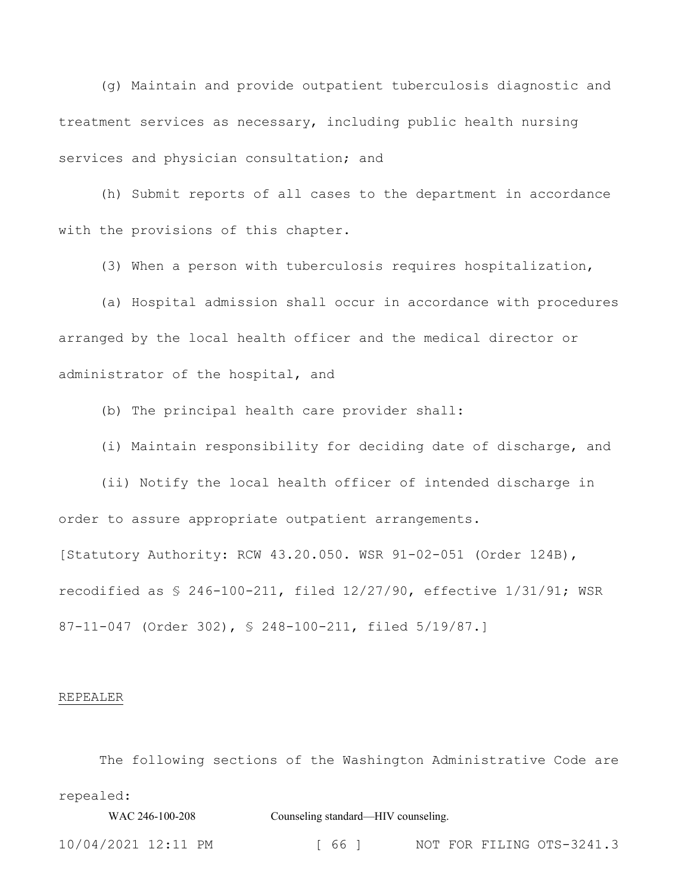(g) Maintain and provide outpatient tuberculosis diagnostic and treatment services as necessary, including public health nursing services and physician consultation; and

(h) Submit reports of all cases to the department in accordance with the provisions of this chapter.

(3) When a person with tuberculosis requires hospitalization,

(a) Hospital admission shall occur in accordance with procedures arranged by the local health officer and the medical director or administrator of the hospital, and

(b) The principal health care provider shall:

(i) Maintain responsibility for deciding date of discharge, and

(ii) Notify the local health officer of intended discharge in order to assure appropriate outpatient arrangements. [Statutory Authority: RCW 43.20.050. WSR 91-02-051 (Order 124B),

recodified as § 246-100-211, filed 12/27/90, effective 1/31/91; WSR 87-11-047 (Order 302), § 248-100-211, filed 5/19/87.]

### REPEALER

The following sections of the Washington Administrative Code are repealed:

WAC 246-100-208 Counseling standard—HIV counseling.

10/04/2021 12:11 PM [ 66 ] NOT FOR FILING OTS-3241.3